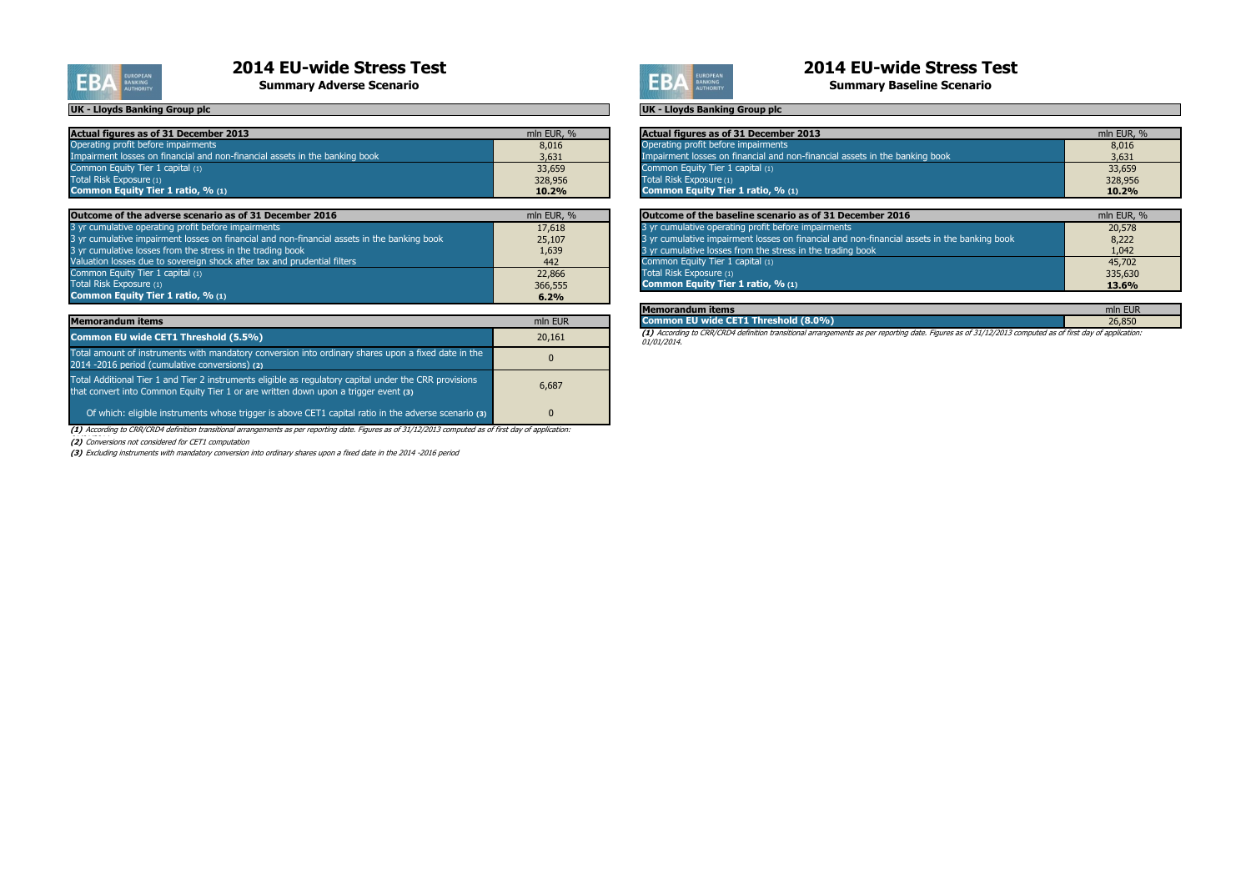

# **2014 EU-wide Stress Test**<br> **2014 EU-wide Stress Test**<br>
Summary Adverse Scenario

| Actual figures as of 31 December 2013                                       | mln EUR, % | Actual figures as of 31 December 2013                                       | mln EUR, % |
|-----------------------------------------------------------------------------|------------|-----------------------------------------------------------------------------|------------|
| Operating profit before impairments                                         | 8,016      | Operating profit before impairments                                         | 8,016      |
| Impairment losses on financial and non-financial assets in the banking book | 3,631      | Impairment losses on financial and non-financial assets in the banking book | 3,631      |
| Common Equity Tier 1 capital $(1)$                                          | 33,659     | Common Equity Tier 1 capital (1)                                            | 33,659     |
| Total Risk Exposure (1)                                                     | 328,956    | Total Risk Exposure (1)                                                     | 328,956    |
| Common Equity Tier 1 ratio, % (1)                                           | 10.2%      | <b>Common Equity Tier 1 ratio, % (1)</b>                                    | 10.2%      |

| Outcome of the adverse scenario as of 31 December 2016                                        | mln EUR, % | Outcome of the baseline scenario as of 31 December 2016                                     | mln EUR, %   |
|-----------------------------------------------------------------------------------------------|------------|---------------------------------------------------------------------------------------------|--------------|
| 3 yr cumulative operating profit before impairments                                           | 17,618     | 3 yr cumulative operating profit before impairments                                         | 20,578       |
| 3 yr cumulative impairment losses on financial and non-financial assets in the banking book 1 | 25,107     | 3 yr cumulative impairment losses on financial and non-financial assets in the banking book | 8,222        |
| 3 yr cumulative losses from the stress in the trading book                                    | 1,639      | 3 yr cumulative losses from the stress in the trading book                                  | 1,042        |
| Valuation losses due to sovereign shock after tax and prudential filters                      | 442        | Common Equity Tier 1 capital (1)                                                            | 45,702       |
| Common Equity Tier 1 capital (1)                                                              | 22,866     | Total Risk Exposure (1)                                                                     | 335,630      |
| Total Risk Exposure (1)                                                                       | 366,555    | <b>Common Equity Tier 1 ratio, % (1)</b>                                                    | <b>13.6%</b> |
| Common Equity Tier 1 ratio, $\%$ (1)                                                          | 6.2%       |                                                                                             |              |

| <b>Memorandum items</b>                                                                                                                                                                       | mln EUR |
|-----------------------------------------------------------------------------------------------------------------------------------------------------------------------------------------------|---------|
| Common EU wide CET1 Threshold (5.5%)                                                                                                                                                          | 20,161  |
| Total amount of instruments with mandatory conversion into ordinary shares upon a fixed date in the<br>2014 -2016 period (cumulative conversions) (2)                                         | 0       |
| Total Additional Tier 1 and Tier 2 instruments eligible as regulatory capital under the CRR provisions<br>that convert into Common Equity Tier 1 or are written down upon a trigger event (3) | 6,687   |
| Of which: eligible instruments whose trigger is above CET1 capital ratio in the adverse scenario (3)                                                                                          | 0       |

**(3)** Excluding instruments with mandatory conversion into ordinary shares upon a fixed date in the 2014 -2016 period



**Summary Baseline Scenario** 

**(1)** According to CRR/CRD4 definition transitional arrangements as per reporting date. Figures as of 31/12/2013 computed as of first day of application: 01/01/2014.

| <b>EUR</b><br>mln |
|-------------------|
| DE OEN            |

**(1)** According to CRR/CRD4 definition transitional arrangements as per reporting date. Figures as of 31/12/2013 computed as of first day of application:

(2) Conversions not considered for CET1 computation

#### **UK - Lloyds Banking Group plc UK - Lloyds Banking Group plc**

| mln EUR, % |
|------------|
| 8,016      |
| 3,631      |
| 33,659     |
| 328,956    |
| 10.2%      |
|            |
| mln EUR, % |
| 20,578     |
| 8,222      |
| 1,042      |
| 45,702     |
| 335,630    |
| 13.6%      |
|            |

#### **Memorandum items Common EU wide CET1 Threshold (8.0%)**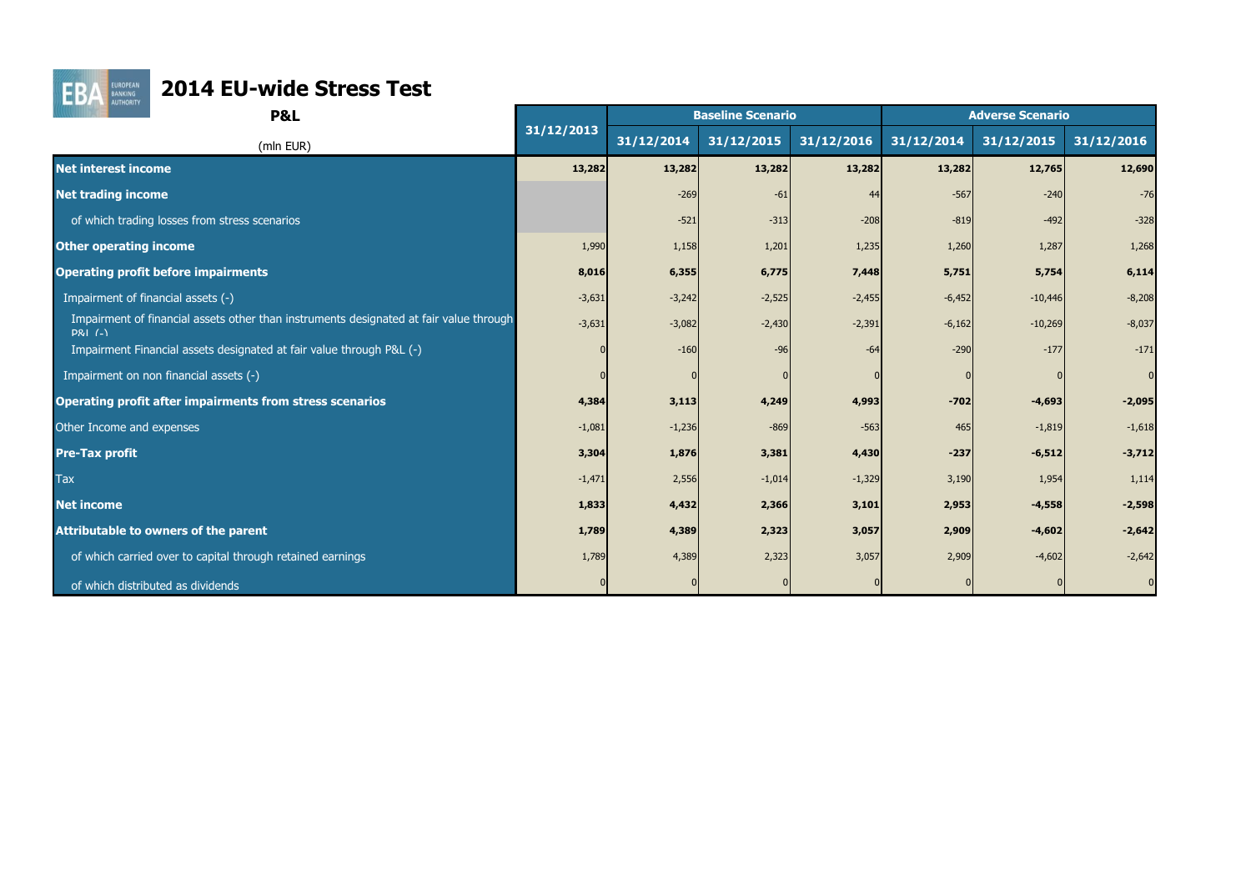

# **FBA EURICOPEAN** 2014 EU-wide Stress Test

| <b>AUTHORITY</b><br><b>P&amp;L</b>                                                                           |            |            | <b>Baseline Scenario</b> |            | <b>Adverse Scenario</b> |            |                |  |  |
|--------------------------------------------------------------------------------------------------------------|------------|------------|--------------------------|------------|-------------------------|------------|----------------|--|--|
| (mln EUR)                                                                                                    | 31/12/2013 | 31/12/2014 | 31/12/2015               | 31/12/2016 | 31/12/2014              | 31/12/2015 | 31/12/2016     |  |  |
| <b>Net interest income</b>                                                                                   | 13,282     | 13,282     | 13,282                   | 13,282     | 13,282                  | 12,765     | 12,690         |  |  |
| <b>Net trading income</b>                                                                                    |            | $-269$     | $-61$                    |            | $-567$                  | $-240$     | $-76$          |  |  |
| of which trading losses from stress scenarios                                                                |            | $-521$     | $-313$                   | $-208$     | $-819$                  | $-492$     | $-328$         |  |  |
| <b>Other operating income</b>                                                                                | 1,990      | 1,158      | 1,201                    | 1,235      | 1,260                   | 1,287      | 1,268          |  |  |
| <b>Operating profit before impairments</b>                                                                   | 8,016      | 6,355      | 6,775                    | 7,448      | 5,751                   | 5,754      | 6,114          |  |  |
| Impairment of financial assets (-)                                                                           | $-3,631$   | $-3,242$   | $-2,525$                 | $-2,455$   | $-6,452$                | $-10,446$  | $-8,208$       |  |  |
| Impairment of financial assets other than instruments designated at fair value through<br><b>P&amp;I</b> (-) | $-3,631$   | $-3,082$   | $-2,430$                 | $-2,391$   | $-6,162$                | $-10,269$  | $-8,037$       |  |  |
| Impairment Financial assets designated at fair value through P&L (-)                                         |            | $-160$     | $-96$                    | -64        | $-290$                  | $-177$     | $-171$         |  |  |
| Impairment on non financial assets (-)                                                                       |            |            |                          |            |                         |            | $\overline{0}$ |  |  |
| <b>Operating profit after impairments from stress scenarios</b>                                              | 4,384      | 3,113      | 4,249                    | 4,993      | $-702$                  | $-4,693$   | $-2,095$       |  |  |
| Other Income and expenses                                                                                    | $-1,081$   | $-1,236$   | $-869$                   | $-563$     | 465                     | $-1,819$   | $-1,618$       |  |  |
| <b>Pre-Tax profit</b>                                                                                        | 3,304      | 1,876      | 3,381                    | 4,430      | $-237$                  | $-6,512$   | $-3,712$       |  |  |
| <b>Tax</b>                                                                                                   | $-1,471$   | 2,556      | $-1,014$                 | $-1,329$   | 3,190                   | 1,954      | 1,114          |  |  |
| <b>Net income</b>                                                                                            | 1,833      | 4,432      | 2,366                    | 3,101      | 2,953                   | $-4,558$   | $-2,598$       |  |  |
| <b>Attributable to owners of the parent</b>                                                                  | 1,789      | 4,389      | 2,323                    | 3,057      | 2,909                   | $-4,602$   | $-2,642$       |  |  |
| of which carried over to capital through retained earnings                                                   | 1,789      | 4,389      | 2,323                    | 3,057      | 2,909                   | $-4,602$   | $-2,642$       |  |  |
| of which distributed as dividends                                                                            |            |            |                          |            |                         |            |                |  |  |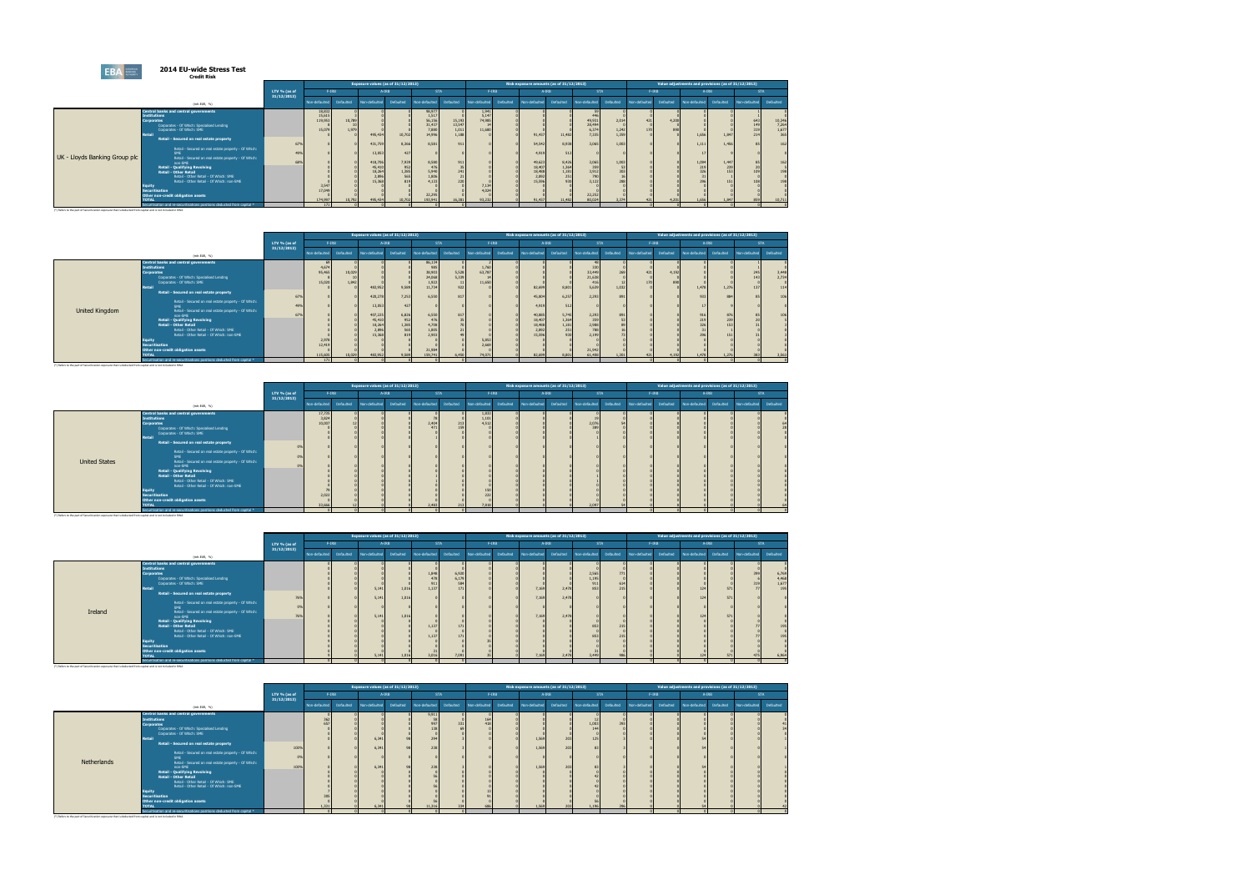#### **2014 EU-wide Stress Test Credit Risk**

|                                                                                                            | GIGAIL IMSK                                                             |              |               |           |               |                                    |                  |                       |                 |           |                                          |                                             |                  |                |               |           |                                                     |           |               |                                 |
|------------------------------------------------------------------------------------------------------------|-------------------------------------------------------------------------|--------------|---------------|-----------|---------------|------------------------------------|------------------|-----------------------|-----------------|-----------|------------------------------------------|---------------------------------------------|------------------|----------------|---------------|-----------|-----------------------------------------------------|-----------|---------------|---------------------------------|
|                                                                                                            |                                                                         |              |               |           |               | Exposure values (as of 31/12/2013) |                  |                       |                 |           | Risk exposure amounts (as of 31/12/2013) |                                             |                  |                |               |           | Value adjustments and provisions (as of 31/12/2013) |           |               |                                 |
|                                                                                                            |                                                                         | LTV % (as of | $F-IRB$       |           |               | $A - IRB$                          | <b>STA</b>       |                       | $F$ -IRB        |           |                                          | $A - IRB$                                   | <b>STA</b>       |                |               | $F-IRB$   | A-IRB                                               |           | <b>STA</b>    |                                 |
|                                                                                                            | (mh EUR, %)                                                             | 31/12/2013   | Non-defaulted | Defaulted | Non-defaulted | Defaulted                          | Non-defaulted    | Defaulted             | Non-defaulted   | Defaulted | Non-defaulted                            | Defaulted                                   | Non-defaulted    | Defaulted      | Non-defaulted | Defaulted | Non-defaulted                                       | Defaulted | Non-defaulted | Defaulted                       |
|                                                                                                            |                                                                         |              |               |           |               |                                    |                  |                       |                 |           |                                          |                                             |                  |                |               |           |                                                     |           |               |                                 |
|                                                                                                            | Central banks and central governments                                   |              | 18,832        |           |               |                                    | 98,977           |                       | 1,941           |           |                                          |                                             | 446              |                |               |           |                                                     |           |               |                                 |
|                                                                                                            | <b>Institutions</b>                                                     |              | 15,61         |           |               |                                    | 1,517            |                       | 5,147<br>74,985 |           |                                          |                                             |                  |                |               | 4,200     |                                                     |           |               |                                 |
|                                                                                                            | <b>Corporates</b><br>Corporates - Of Which: Specialised Lending         |              | 119,953       | 10,789    |               |                                    | 56,156<br>31,437 | 15,193<br>13,547      |                 |           |                                          |                                             | 49,931<br>28,494 | 2,014          | 421           |           |                                                     |           | 643<br>149    |                                 |
|                                                                                                            | Corporates - Of Which: SME                                              |              | 15.07         | 1.979     |               |                                    |                  |                       | 11.680          |           |                                          |                                             | 6.374            |                | 170           |           |                                                     |           | 319           |                                 |
|                                                                                                            | <b>Retail</b>                                                           |              |               |           | 495,434       | 10,702                             | 7.880<br>14,996  | $\frac{1.011}{1,188}$ |                 |           | 91,43                                    | 11,482                                      | 7.335            | 1.242<br>1,359 |               |           | 1.656                                               | 1,847     | 214           | 10,346<br>7,264<br>1.677<br>365 |
|                                                                                                            | Retail - Secured on real estate property                                |              |               |           |               |                                    |                  |                       |                 |           |                                          |                                             |                  |                |               |           |                                                     |           |               |                                 |
|                                                                                                            |                                                                         | 67           |               |           | 431,759       | 8,366                              | 8.581            | 911                   |                 |           | 54,542                                   | 8,938                                       | 3.065            | 1,003          |               |           | 1.111                                               | 1.456     | 85            | 162                             |
|                                                                                                            | Retail - Secured on real estate property - Of Which:                    |              |               |           |               |                                    |                  |                       |                 |           |                                          |                                             |                  |                |               |           |                                                     |           |               |                                 |
|                                                                                                            | <b>SME</b>                                                              | 49%          |               |           | 13,053        | 427                                |                  |                       |                 |           | 4,91                                     | 512                                         |                  |                |               |           |                                                     |           |               |                                 |
| UK - Lloyds Banking Group plc                                                                              | Retail - Secured on real estate property - Of Which:                    |              |               |           |               |                                    |                  |                       |                 |           |                                          |                                             |                  |                |               |           |                                                     |           |               |                                 |
|                                                                                                            | non-SME                                                                 | 689          |               |           | 418,706       | 7,939                              | 8,580            | 911                   |                 |           | 49,623                                   |                                             | 3,065            | 1,003          |               |           | 1,094                                               | 1,447     | 85            |                                 |
|                                                                                                            | Retail - Qualifying Revolving                                           |              |               |           | 45,410        | 952                                |                  |                       |                 |           | 18,40                                    | $8,426$<br>$1,364$                          | 359              |                |               |           | 219                                                 | 239       |               |                                 |
|                                                                                                            | <b>Retail - Other Retail</b>                                            |              |               |           | 18,264        | 1,385<br>565                       | 5,940            | 241                   |                 |           | 18,48                                    | $\begin{array}{c} 1,181 \\ 251 \end{array}$ | 3,912            |                |               |           | 226                                                 |           |               |                                 |
|                                                                                                            | Retail - Other Retail - Of Which: SME                                   |              |               |           | 2.896         |                                    | 1.806            |                       |                 |           | 2,89                                     |                                             | 790              |                |               |           |                                                     |           |               |                                 |
|                                                                                                            | Retail - Other Retail - Of Which: non-SME                               |              |               |           | 15,368        | 819                                | 4.133            | 220                   |                 |           | 15,59                                    | 930                                         | 3.122            |                |               |           | 296                                                 |           |               |                                 |
|                                                                                                            | <b>Equity</b>                                                           |              | 3,54          |           |               |                                    |                  |                       | 7,134           |           |                                          |                                             |                  |                |               |           |                                                     |           |               |                                 |
|                                                                                                            | <b>Securitisation</b>                                                   |              | 17.049        |           |               |                                    |                  |                       | 4.024           |           |                                          |                                             |                  |                |               |           |                                                     |           |               |                                 |
|                                                                                                            | Other non-credit obligation assets                                      |              |               |           |               |                                    | 22,295           |                       |                 |           |                                          |                                             | 22,252           |                |               |           |                                                     |           |               |                                 |
|                                                                                                            | <b>TOTAL</b>                                                            |              | 174,997       | 10,792    | 495,434       | 10,702                             | 193,94           | 16,381                | 93,232          |           | 91,437                                   | 11,482                                      | 80.024           | 3.374          |               | 4.201     | 1,656                                               | 1,847     | 859           | 10,711                          |
|                                                                                                            | Securitisation and re-securitisations positions deducted from capital * |              | 171           |           |               |                                    |                  |                       |                 |           |                                          |                                             |                  |                |               |           |                                                     |           |               |                                 |
| (*) Refers to the part of Securitization exposure that is deducted from capital and is not included in RWA |                                                                         |              |               |           |               |                                    |                  |                       |                 |           |                                          |                                             |                  |                |               |           |                                                     |           |               |                                 |

|                                                                                                            |                                                                                                                                                                                                                                                                                                                                                                                                                                                                                                                                                                                |                   |                                              |                 |                                                                                | Exposure values (as of 31/12/2013)                           |                                                                                                              |                                     |                                             |           |                                                                            | Risk exposure amounts (as of 31/12/2013)                       |                                                                                              |                            |               |           | Value adjustments and provisions (as of 31/12/2013) |                     |                   |                              |
|------------------------------------------------------------------------------------------------------------|--------------------------------------------------------------------------------------------------------------------------------------------------------------------------------------------------------------------------------------------------------------------------------------------------------------------------------------------------------------------------------------------------------------------------------------------------------------------------------------------------------------------------------------------------------------------------------|-------------------|----------------------------------------------|-----------------|--------------------------------------------------------------------------------|--------------------------------------------------------------|--------------------------------------------------------------------------------------------------------------|-------------------------------------|---------------------------------------------|-----------|----------------------------------------------------------------------------|----------------------------------------------------------------|----------------------------------------------------------------------------------------------|----------------------------|---------------|-----------|-----------------------------------------------------|---------------------|-------------------|------------------------------|
|                                                                                                            |                                                                                                                                                                                                                                                                                                                                                                                                                                                                                                                                                                                | LTV % (as of      | $F-IRB$                                      |                 |                                                                                | A-IRB                                                        |                                                                                                              | <b>STA</b>                          |                                             | $F-IRB$   |                                                                            | $A - IRB$                                                      |                                                                                              | <b>STA</b>                 | $F$ -IRB      |           |                                                     | A-IRB               | <b>STA</b>        |                              |
|                                                                                                            | (mh EUR, %)                                                                                                                                                                                                                                                                                                                                                                                                                                                                                                                                                                    | 31/12/2013        | Non-defaulted                                | Defaulted       | Non-defaulted                                                                  | Defaulted                                                    | Non-defaulted                                                                                                | Defaulted                           | Non-defaulted                               | Defaulted | Non-defaulted                                                              | Defaulted                                                      | Non-defaulted                                                                                | Defaulted                  | Non-defaulted | Defaulted | Non-defaulted                                       | Defaulted           | Non-defaulted     | Defaulted                    |
| <b>United Kingdom</b>                                                                                      | Central banks and central governments<br><b>Institutions</b><br><b>Corporates</b><br>Corporates - Of Which: Specialised Lending<br>Corporates - Of Which: SME<br>Retail<br>Retail - Secured on real estate property<br>Retail - Secured on real estate property - Of Which:<br>SME<br>Retail - Secured on real estate property - Of Which:<br>non-SME<br>Retail - Qualifying Revolving<br><b>Retail - Other Retail</b><br>Retail - Other Retail - Of Which: SME<br>Retail - Other Retail - Of Which: non-SME<br>Equity<br>Securitisation<br>Other non-credit obligation assets | 67%<br>49%<br>67% | 4,674<br>95,465<br>15,020<br>2,978<br>12,419 | 10,029<br>1,842 | 483,952<br>420,278<br>13,053<br>407,225<br>45,410<br>18,264<br>2,896<br>15,368 | 9,589<br>7,253<br>427<br>6,826<br>952<br>1,385<br>565<br>819 | 86,134<br>985<br>38,903<br>24,068<br>$1,922$<br>$11,734$<br>6,550<br>6,550<br>476<br>4,708<br>1,805<br>2.903 | 5,528<br>5,339<br>922<br>817<br>817 | 1,760<br>63,787<br>11,650<br>5,853<br>2,669 |           | 82,699<br>45,804<br>4,919<br>40,885<br>18,407<br>18,488<br>2,892<br>15,596 | 8,801<br>6,257<br>512<br>5,745<br>1,364<br>1,181<br>251<br>930 | 33,449<br>21,638<br>416<br>5.639<br>2,293<br>2,293<br>359<br>2,988<br>788<br>2.199<br>21,942 | 269<br>1,032<br>891<br>891 | 421           | 4.192     | 1,478<br>933<br>916<br>219<br>326<br>296            | 1,276<br>884<br>876 | 245<br>143<br>137 | 3,448<br>2,734<br>114<br>106 |
|                                                                                                            | <b>TOTAL</b>                                                                                                                                                                                                                                                                                                                                                                                                                                                                                                                                                                   |                   | 115,605                                      | 10.029          | 483,952                                                                        | 9.589                                                        | 21,984<br>159,741                                                                                            | 6,450                               | 74.071                                      |           | 82,699                                                                     | 8.80                                                           | 61,408                                                                                       | 1.30                       |               | 4.192     | 1.478                                               | 1,276               | 383               | 3,563                        |
|                                                                                                            | Securitisation and re-securitisations positions deducted from capital *                                                                                                                                                                                                                                                                                                                                                                                                                                                                                                        |                   | 171                                          |                 |                                                                                |                                                              |                                                                                                              |                                     |                                             |           |                                                                            |                                                                |                                                                                              |                            |               |           |                                                     |                     |                   |                              |
| (*) Refers to the part of Securitization exposure that is deducted from capital and is not included in RWA |                                                                                                                                                                                                                                                                                                                                                                                                                                                                                                                                                                                |                   |                                              |                 |                                                                                |                                                              |                                                                                                              |                                     |                                             |           |                                                                            |                                                                |                                                                                              |                            |               |           |                                                     |                     |                   |                              |

|                      |                                                                                                                                                                                                                                                                                                                                                                                                                                                                                                                                                                                                |                            |                                              |           |               | Exposure values (as of 31/12/2013) |                       |            |                                                |           | Risk exposure amounts (as of 31/12/2013) |           |                |           |               |           | Value adjustments and provisions (as of 31/12/2013) |           |               |           |
|----------------------|------------------------------------------------------------------------------------------------------------------------------------------------------------------------------------------------------------------------------------------------------------------------------------------------------------------------------------------------------------------------------------------------------------------------------------------------------------------------------------------------------------------------------------------------------------------------------------------------|----------------------------|----------------------------------------------|-----------|---------------|------------------------------------|-----------------------|------------|------------------------------------------------|-----------|------------------------------------------|-----------|----------------|-----------|---------------|-----------|-----------------------------------------------------|-----------|---------------|-----------|
|                      |                                                                                                                                                                                                                                                                                                                                                                                                                                                                                                                                                                                                | LTV % (as of<br>31/12/2013 | $F-IRB$                                      |           |               | A-IRB                              |                       | <b>STA</b> | $F-IRB$                                        |           |                                          | A-IRB     | <b>STA</b>     |           | $F$ -IRB      |           | A-IRB                                               |           | <b>STA</b>    |           |
|                      | (mh EUR, %)                                                                                                                                                                                                                                                                                                                                                                                                                                                                                                                                                                                    |                            | Non-defaulted                                | Defaulted | Non-defaulted | Defaulted                          | Non-defaulted         | Defaulted  | Non-defaulted                                  | Defaulted | Non-defaulted                            | Defaulted | Non-defaulted  | Defaulted | Non-defaulted | Defaulted | Non-defaulted                                       | Defaulted | Non-defaulted | Defaulted |
| <b>United States</b> | Central banks and central governments<br><b>Institutions</b><br>Corporates<br>Corporates - Of Which: Specialised Lending<br>Corporates - Of Which: SME<br>Retail<br>Retail - Secured on real estate property<br>Retail - Secured on real estate property - Of Which:<br>SME<br>Retail - Secured on real estate property - Of Which:<br>non-SME<br><b>Retail - Qualifying Revolving</b><br><b>Retail - Other Retail</b><br>Retail - Other Retail - Of Which: SME<br>Retail - Other Retail - Of Which: non-SME<br>Equity<br>Securitisation<br>Other non-credit obligation assets<br><b>TOTAL</b> |                            | 17,735<br>3,824<br>10,007<br>2.022<br>33,666 |           |               |                                    | 2,404<br>471<br>2.483 | 213<br>213 | 1,833<br>1,101<br>4,512<br>150<br>222<br>7,818 |           |                                          |           | 2,076<br>2.097 |           |               |           |                                                     |           |               |           |
|                      | Securitisation and re-securitisations positions deducted from capital *                                                                                                                                                                                                                                                                                                                                                                                                                                                                                                                        |                            |                                              |           |               |                                    |                       |            |                                                |           |                                          |           |                |           |               |           |                                                     |           |               |           |

|         |                                                                         |                |               |           | Exposure values (as of 31/12/2013) |           |               |              |               |           | Risk exposure amounts (as of 31/12/2013) |           |               |            |               |           | Value adjustments and provisions (as of 31/12/2013) |           |               |              |
|---------|-------------------------------------------------------------------------|----------------|---------------|-----------|------------------------------------|-----------|---------------|--------------|---------------|-----------|------------------------------------------|-----------|---------------|------------|---------------|-----------|-----------------------------------------------------|-----------|---------------|--------------|
|         |                                                                         | LTV $%$ (as of |               | $F-IRB$   |                                    | $A - IRB$ |               | <b>STA</b>   |               | $F-IRB$   |                                          | A-IRB     | <b>STA</b>    |            | $F-IRB$       |           | A-IRB                                               |           |               | <b>STA</b>   |
|         | (mh EUR, %)                                                             | 31/12/2013     | Non-defaulted | Defaulted | Non-defaulted                      | Defaulted | Non-defaulted | Defaulted    | Non-defaulted | Defaulted | Non-defaulted                            | Defaulted | Non-defaulted | Defaulted  | Non-defaulted | Defaulted | Non-defaulted                                       | Defaulted | Non-defaulted | Defaulted    |
|         | Central banks and central governments<br><b>Institutions</b>            |                |               |           |                                    |           |               |              |               |           |                                          |           |               |            |               |           |                                                     |           |               |              |
|         | Corporates                                                              |                |               |           |                                    |           | 1,848         | 6,920        |               |           |                                          |           | 2,565         | 771        |               |           |                                                     |           |               | 6,769        |
|         | Corporates - Of Which: Specialised Lending                              |                |               |           |                                    |           | 478           | 6,179<br>584 |               |           |                                          |           | 1,195         |            |               |           |                                                     |           |               | 4,468        |
|         | Corporates - Of Which: SME<br><b>Retail</b>                             |                |               |           | 5,14                               | 1,016     | 911<br>1,137  |              |               |           | 7.169                                    | 2,478     | 911<br>853    | 614<br>215 |               |           | 12                                                  | 571       |               | 1,677<br>195 |
|         | Retail - Secured on real estate property                                |                |               |           |                                    |           |               |              |               |           |                                          |           |               |            |               |           |                                                     |           |               |              |
|         | Retail - Secured on real estate property - Of Which:                    | 76%            |               |           | 5,141                              | 1,01      |               |              |               |           | 7,169                                    | 2,478     |               |            |               |           | 124                                                 | 571       |               |              |
|         | SME                                                                     | 0 <sup>9</sup> |               |           |                                    |           |               |              |               |           |                                          |           |               |            |               |           |                                                     |           |               |              |
| Ireland | Retail - Secured on real estate property - Of Which:<br>non-SME         | 76%            |               |           | 5,141                              | 1,01      |               |              |               |           | 7,169                                    | 2,478     |               |            |               |           | 124                                                 | 571       |               |              |
|         | <b>Retail - Qualifying Revolving</b>                                    |                |               |           |                                    |           |               |              |               |           |                                          |           |               |            |               |           |                                                     |           |               |              |
|         | <b>Retail - Other Retail</b><br>Retail - Other Retail - Of Which: SME   |                |               |           |                                    |           | 1,137         |              |               |           |                                          |           |               | 215        |               |           |                                                     |           |               |              |
|         | Retail - Other Retail - Of Which: non-SME                               |                |               |           |                                    |           | 1,137         |              |               |           |                                          |           | 85            | 215        |               |           |                                                     |           |               |              |
|         | Equity                                                                  |                |               |           |                                    |           |               |              |               |           |                                          |           |               |            |               |           |                                                     |           |               |              |
|         | Securitisation<br>Other non-credit obligation assets                    |                |               |           |                                    |           |               |              |               |           |                                          |           |               |            |               |           |                                                     |           |               |              |
|         | <b>TOTAL</b>                                                            |                |               |           | 5.141                              | 1.016     | 3.016         | 7.091        |               |           | 7.169                                    | 2.478     | 3.449         | 98         |               |           |                                                     |           |               | 6.964        |
|         | Securitisation and re-securitisations positions deducted from capital * |                |               |           |                                    |           |               |              |               |           |                                          |           |               |            |               |           |                                                     |           |               |              |

|                                                                                                                                                                                                                                                                                                                                           |                                                                                                                                                                                                                                                                                              |                   |               |           | Exposure values (as of 31/12/2013) |           |                                                         |            |                  |           | Risk exposure amounts (as of 31/12/2013) |                          |                       |           |               |           | Value adjustments and provisions (as of 31/12/2013) |           |               |            |
|-------------------------------------------------------------------------------------------------------------------------------------------------------------------------------------------------------------------------------------------------------------------------------------------------------------------------------------------|----------------------------------------------------------------------------------------------------------------------------------------------------------------------------------------------------------------------------------------------------------------------------------------------|-------------------|---------------|-----------|------------------------------------|-----------|---------------------------------------------------------|------------|------------------|-----------|------------------------------------------|--------------------------|-----------------------|-----------|---------------|-----------|-----------------------------------------------------|-----------|---------------|------------|
|                                                                                                                                                                                                                                                                                                                                           |                                                                                                                                                                                                                                                                                              | LTV % (as of      | $F-IRB$       |           |                                    | $A-IRB$   |                                                         | <b>STA</b> | $F-IRB$          |           | A-IRB                                    |                          | <b>STA</b>            |           | $F-IRB$       |           |                                                     | A-IRB     |               | <b>STA</b> |
|                                                                                                                                                                                                                                                                                                                                           | (mh EUR, %)                                                                                                                                                                                                                                                                                  | 31/12/2013        | Non-defaulted | Defaulted | Non-defaulted                      | Defaulted | Non-defaulted                                           | Defaulted  | Non-defaulted    | Defaulted | Non-defaulted                            | Defaulted                | Non-defaulted         | Defaulted | Non-defaulted | Defaulted | Non-defaulted                                       | Defaulted | Non-defaulted | Defaulted  |
| <b>Central banks and central governments</b><br><b>Institutions</b><br><b>Corporates</b><br>Corporates - Of Which: SME<br><b>Retail</b><br>SME<br>Netherlands<br>non-SME<br><b>Retail - Qualifying Revolving</b><br><b>Retail - Other Retail</b><br>Equity<br><b>Securitisation</b><br>Other non-credit obligation assets<br><b>TOTAL</b> | Corporates - Of Which: Specialised Lending<br>Retail - Secured on real estate property<br>Retail - Secured on real estate property - Of Which:<br>Retail - Secured on real estate property - Of Which:<br>Retail - Other Retail - Of Which: SME<br>Retail - Other Retail - Of Which: non-SME | 100%<br>n<br>100% | 1.33          |           | 6,341<br>6,341<br>6,341<br>6.341   |           | 9,911<br>58<br>997<br>294<br>238<br>238<br>56<br>11,316 | 331        | 164<br>418<br>68 |           | 1,569<br>1,569<br>1.569<br>1,569         | 203<br>203<br>203<br>203 | 1,003<br>144<br>1.196 | 393<br>39 |               |           |                                                     |           |               |            |
|                                                                                                                                                                                                                                                                                                                                           | Securitisation and re-securitisations positions deducted from capital *                                                                                                                                                                                                                      |                   |               |           |                                    |           |                                                         |            |                  |           |                                          |                          |                       |           |               |           |                                                     |           |               |            |



(\*) Refers to the part of Securitization exposure that is deducted from capital and is not included in RWA

(\*) Refers to the part of Securitization exposure that is deducted from capital and is not included in RWA

(\*) Refers to the part of Securitization exposure that is deducted from capital and is not included in RWA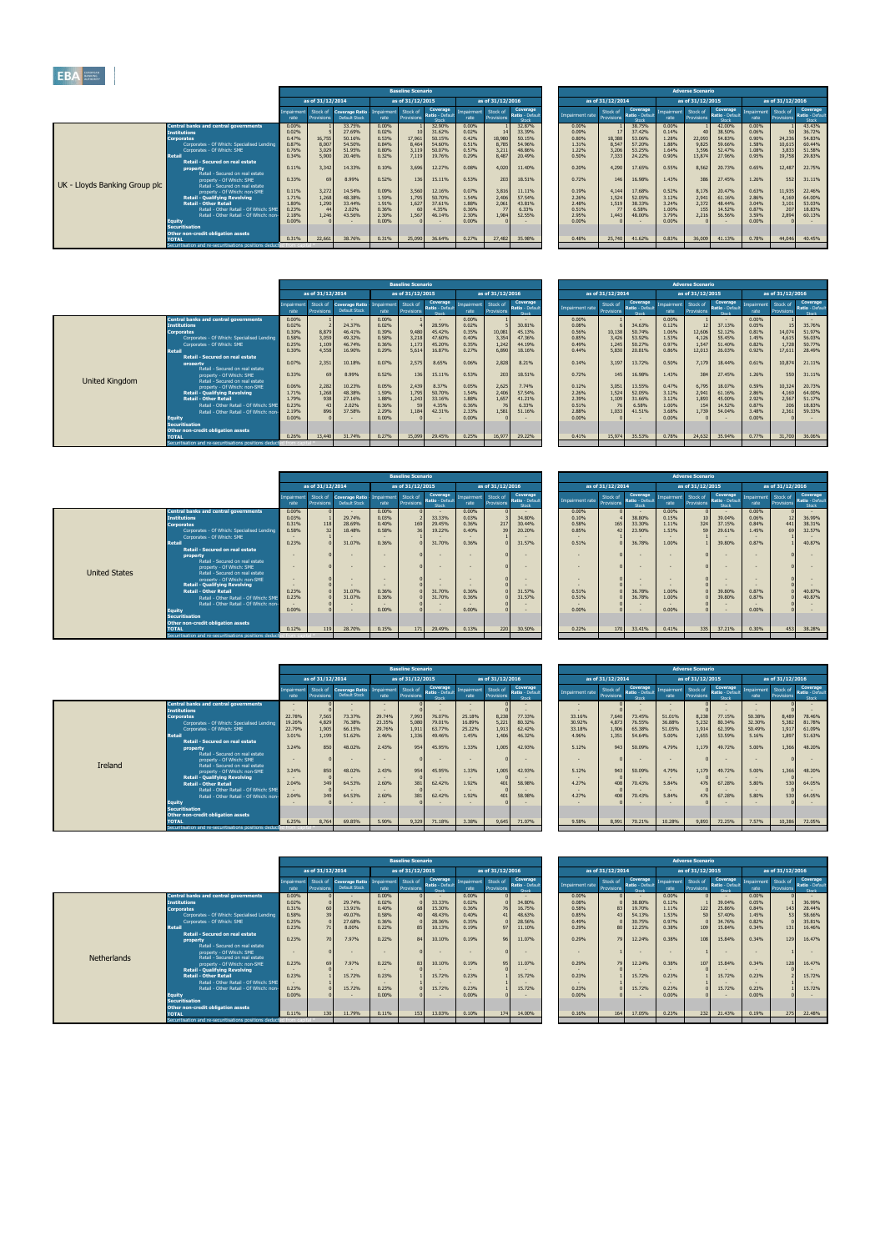|     | <b>Baseline Scenario</b>                                |                                                                              |                                                                      |                                                         |                                                                              |                                                                      |                                                         |                                                                              |                                                                      | <b>Adverse Scenario</b>                                  |                                                                              |                                                                      |                                                                            |                                                                              |
|-----|---------------------------------------------------------|------------------------------------------------------------------------------|----------------------------------------------------------------------|---------------------------------------------------------|------------------------------------------------------------------------------|----------------------------------------------------------------------|---------------------------------------------------------|------------------------------------------------------------------------------|----------------------------------------------------------------------|----------------------------------------------------------|------------------------------------------------------------------------------|----------------------------------------------------------------------|----------------------------------------------------------------------------|------------------------------------------------------------------------------|
|     | as of 31/12/2015                                        |                                                                              |                                                                      | as of 31/12/2016                                        |                                                                              |                                                                      | as of 31/12/2014                                        |                                                                              |                                                                      | as of 31/12/2015                                         |                                                                              |                                                                      | as of 31/12/2016                                                           |                                                                              |
| ent | Stock of<br><b>Provisions</b>                           | Coverage<br>Ratio - Default<br>Stock                                         | Impairment<br>rate                                                   | Stock of<br>Provisions                                  | <b>Coverage</b><br>Ratio - Default<br>Stock                                  | Impairment rate                                                      | Stock of<br>Provisions                                  | Coverage<br>Ratio - Default<br>Stock                                         | Impairment<br>rate                                                   | Stock of<br><b>Provisions</b>                            | Coverage<br>Ratio - Default<br>Stock                                         | Impairment<br>rate                                                   | Stock of<br><b>Provisions</b>                                              | Coverage<br>Ratio - Default<br>Stock                                         |
|     | 10<br>17,961<br>8,464<br>3,119<br>7,119<br>3,696<br>136 | 32.90%<br>31.62%<br>50.15%<br>54.60%<br>50.07%<br>19.76%<br>12.27%<br>15.11% | 0.00%<br>0.02%<br>0.42%<br>0.51%<br>0.57%<br>0.29%<br>0.08%<br>0.53% | 14<br>18,980<br>8.785<br>3,211<br>8,487<br>4,020<br>203 | 32.87%<br>33.39%<br>50.15%<br>54.96%<br>48.86%<br>20.49%<br>11.40%<br>18.51% | 0.00%<br>0.09%<br>0.80%<br>1.31%<br>1.22%<br>0.50%<br>0.20%<br>0.72% | 17<br>18,388<br>8,547<br>3,206<br>7,333<br>4,290<br>146 | 38.75%<br>37.42%<br>53.06%<br>57.20%<br>53.25%<br>24.22%<br>17.65%<br>16.98% | 0.00%<br>0.14%<br>1.28%<br>1.88%<br>1.64%<br>0.90%<br>0.55%<br>1.43% | 40<br>22,093<br>9,825<br>3,596<br>13,874<br>8,562<br>386 | 42.00%<br>38.50%<br>54.83%<br>59.66%<br>52.47%<br>27.96%<br>20.73%<br>27.45% | 0.00%<br>0.06%<br>0.90%<br>1.58%<br>1.08%<br>0.95%<br>0.65%<br>1.26% | $\mathbf{1}$<br>50<br>24,236<br>10,615<br>3,833<br>19,758<br>12,487<br>552 | 43.43%<br>36.72%<br>54.83%<br>60.44%<br>51.58%<br>29.83%<br>22.75%<br>31.11% |
|     | 3,560<br>1,795<br>1,627<br>60<br>1,567<br>$\Omega$      | 12.16%<br>50.70%<br>37.61%<br>4.35%<br>46.14%                                | 0.07%<br>1.54%<br>1.88%<br>0.36%<br>2.30%<br>0.00%                   | 3,816<br>2,406<br>2,061<br>77<br>1,984                  | 11.11%<br>57.54%<br>43.81%<br>6.33%<br>52.55%                                | 0.19%<br>2.26%<br>2.48%<br>0.51%<br>2.95%<br>0.00%                   | 4,144<br>1,524<br>1,519<br>77<br>1,443<br>$\sqrt{ }$    | 17.68%<br>52.05%<br>38.33%<br>6.58%<br>48.00%                                | 0.52%<br>3.12%<br>3.24%<br>1.00%<br>3.79%<br>0.00%                   | 8,176<br>2,941<br>2,372<br>155<br>2,216                  | 20.47%<br>61.16%<br>48.44%<br>14.52%<br>56.56%                               | 0.63%<br>2.86%<br>3.04%<br>0.87%<br>3.59%<br>0.00%                   | 11,935<br>4,169<br>3,101<br>207<br>2,894<br>n                              | 22.46%<br>64.00%<br>53.03%<br>18.83%<br>60.13%                               |
|     | 25,090                                                  | 36.64%                                                                       | 0.27%                                                                | 27,482                                                  | 35.98%                                                                       | 0.48%                                                                | 25,740                                                  | 41.62%                                                                       | 0.83%                                                                | 36,009                                                   | 41.13%                                                                       | 0.78%                                                                | 44,046                                                                     | 40.45%                                                                       |

|                |                                                                                       |                   |                        |                                                 |       | <b>Baseline Scenario</b>          |                                      |                   |                        |                                      |                 |                        |                                      |                   | <b>Adverse Scenario</b> |                                      |                   |                        |                                 |
|----------------|---------------------------------------------------------------------------------------|-------------------|------------------------|-------------------------------------------------|-------|-----------------------------------|--------------------------------------|-------------------|------------------------|--------------------------------------|-----------------|------------------------|--------------------------------------|-------------------|-------------------------|--------------------------------------|-------------------|------------------------|---------------------------------|
|                |                                                                                       |                   | as of 31/12/2014       |                                                 |       | as of 31/12/2015                  |                                      |                   | as of 31/12/2016       |                                      |                 | as of 31/12/2014       |                                      |                   | as of 31/12/2015        |                                      |                   | as of 31/12/2016       |                                 |
|                |                                                                                       | mnairment<br>rate | Stock of<br>Provisions | <b>Coverage Ratio -</b><br><b>Default Stock</b> | rate  | Impairment Stock of<br>Provisions | Coverage<br>Ratio - Default<br>Stock | mpairment<br>rate | Stock of<br>Provisions | Coverage<br>Ratio - Default<br>Stock | Impairment rate | Stock of<br>Provisions | Coverage<br>Ratio - Default<br>Stock | mpairment<br>rate | Stock of<br>Provisions  | Coverage<br>Ratio - Default<br>Stock | mpairment<br>rate | Stock of<br>Provisions | Coverag<br>Ratio - Def<br>Stock |
|                | <b>Central banks and central governments</b>                                          | 0.00%             |                        |                                                 | 0.00% |                                   |                                      | 0.00%             |                        |                                      | 0.00%           |                        |                                      | 0.00%             |                         |                                      | 0.00%             |                        |                                 |
|                | <b>Institutions</b>                                                                   | 0.02%             |                        | 24.37%                                          | 0.02% |                                   | 28.59%                               | 0.02%             |                        | 30.81%                               | 0.08%           |                        | 34.63%                               | 0.12%             |                         | 37.13%                               | 0.05%             |                        | 35.76%                          |
|                | <b>Corporates</b>                                                                     | 0.30%             | 8,879                  | 46.41%                                          | 0.39% | 9,480                             | 45.42%                               | 0.35%             | 10,081                 | 45.13%                               | 0.56%           | 10,138                 | 50.74%                               | 1.06%             | 12,606                  | 52.12%                               | 0.81%             | 14,074                 | 51.97%                          |
|                | Corporates - Of Which: Specialised Lending                                            | 0.58%             | 3,059                  | 49.32%                                          | 0.58% | 3,218                             | 47.60%                               | 0.40%             | 3,354                  | 47.36%                               | 0.85%           | 3,426                  | 53.92%                               | 1.53%             | 4.126                   | 55.45%                               | 1.45%             | 4,615                  | 56.03%                          |
|                | Corporates - Of Which: SME                                                            | 0.25%             | 1,109                  | 46.74%                                          | 0.36% | 1,173                             | 45.20%                               | 0.35%             | 1,242                  | 44.19%                               | 0.49%           | 1,245                  | 50.27%                               | 0.97%             | 1,547                   | 51.40%                               | 0.82%             | 1,728                  | 50.77%                          |
|                | Retai                                                                                 | 0.30%             | 4,558                  | 16.90%                                          | 0.29% | 5,614                             | 16.87%                               | 0.27%             | 6,890                  | 18.16%                               | 0.44%           | 5,830                  | 20.81%                               | 0.86%             | 12,013                  | 26.03%                               | 0.92%             | 17,611                 | 28.49%                          |
|                | <b>Retail - Secured on real estate</b><br>property<br>Retail - Secured on real estate | 0.07%             | 2,351                  | 10.18%                                          | 0.07% | 2,575                             | 8.65%                                | 0.06%             | 2,828                  | 8.21%                                | 0.14%           | 3.197                  | 13.72%                               | 0.50%             | 7,179                   | 18.44%                               | 0.61%             | 10,874                 | 21.11%                          |
| United Kingdom | property - Of Which: SME<br>Retail - Secured on real estate                           | 0.33%             | 69                     | 8.99%                                           | 0.52% | 136                               | 15.11%                               | 0.53%             | 203                    | 18.51%                               | 0.72%           | 145                    | 16.98%                               | 1.43%             | 384                     | 27.45%                               | 1.26%             | 550                    | 31.11%                          |
|                | property - Of Which: non-SME                                                          | 0.06%             | 2,282                  | 10.23%                                          | 0.05% | 2,439                             | 8.37%                                | 0.05%             | 2,625                  | 7.74%                                | 0.12%           | 3,051                  | 13.55%                               | 0.47%             | 6,795                   | 18.07%                               | 0.59%             | 10,324                 | 20.73%                          |
|                | <b>Retail - Qualifying Revolving</b>                                                  | 1.71%             | 1,268                  | 48.38%                                          | 1.59% | 1,795                             | 50.70%                               | 1.54%             | 2,406                  | 57.54%                               | 2.26%           | 1,524                  | 52.05%                               | 3.12%             | 2,941                   | 61.16%                               | 2.86%             | 4,169                  | 64.00%                          |
|                | <b>Retail - Other Retail</b>                                                          | 1.79%             | 938                    | 27.16%                                          | 1.88% | 1,243                             | 33.16%                               | 1.88%             | 1,657                  | 41.21%                               | 2.39%           | 1,109                  | 31.66%                               | 3.12%             | 1,893                   | 45.00%                               | 2.92%             | 2,567                  | 51.17%                          |
|                | Retail - Other Retail - Of Which: SME                                                 | 0.23%             |                        | 2.02%                                           | 0.36% |                                   | 4.35%                                | 0.36%             |                        | 6.33%                                | 0.51%           |                        | 6.58%                                | 1.00%             |                         | 14.52%                               | 0.87%             | 206                    | 18.83%                          |
|                | Retail - Other Retail - Of Which: non-                                                | 2.19%             | 896                    | 37.58%                                          | 2.29% | 1,184                             | 42.31%                               | 2.33%             | 1,581                  | 51.16%                               | 2.88%           | 1,033                  | 41.51%                               | 3.68%             | 1,739                   | 54.04%                               | 3.48%             | 2,361                  | 59.33%                          |
|                | Equity                                                                                | 0.00%             |                        |                                                 | 0.00% |                                   |                                      | 0.00%             |                        |                                      | 0.00%           |                        |                                      | 0.00%             |                         |                                      | 0.00%             |                        |                                 |
|                | <b>Securitisation</b>                                                                 |                   |                        |                                                 |       |                                   |                                      |                   |                        |                                      |                 |                        |                                      |                   |                         |                                      |                   |                        |                                 |
|                | Other non-credit obligation assets                                                    |                   |                        |                                                 |       |                                   |                                      |                   |                        |                                      |                 |                        |                                      |                   |                         |                                      |                   |                        |                                 |
|                | <b>TOTAL</b>                                                                          | 0.26%             | 13,440                 | 31.74%                                          | 0.27% | 15,099                            | 29.45%                               | 0.25%             | 16,977                 | 29.22%                               | 0.41%           | 15,974                 | 35.53%                               | 0.78%             | 24,632                  | 35.94%                               | 0.77%             | 31,700                 | 36.06%                          |
|                | Securitisation and re-securitisations positions deducter                              | from canita       |                        |                                                 |       |                                   |                                      |                   |                        |                                      |                 |                        |                                      |                   |                         |                                      |                   |                        |                                 |

| EUROPEAN<br><b>EBA</b>        |                                                                 |                   |                        |                                                     |       |                          |                                     |                     |                        |                                     |       |                |                        |                                      |       |                                  |                                    |                   |                        |                                 |
|-------------------------------|-----------------------------------------------------------------|-------------------|------------------------|-----------------------------------------------------|-------|--------------------------|-------------------------------------|---------------------|------------------------|-------------------------------------|-------|----------------|------------------------|--------------------------------------|-------|----------------------------------|------------------------------------|-------------------|------------------------|---------------------------------|
|                               |                                                                 |                   |                        |                                                     |       | <b>Baseline Scenario</b> |                                     |                     |                        |                                     |       |                |                        |                                      |       | <b>Adverse Scenario</b>          |                                    |                   |                        |                                 |
|                               |                                                                 |                   | as of 31/12/2014       |                                                     |       | as of 31/12/2015         |                                     |                     | as of 31/12/2016       |                                     |       |                | as of 31/12/2014       |                                      |       | as of 31/12/2015                 |                                    |                   | as of 31/12/2016       |                                 |
|                               |                                                                 | npairment<br>rate | Stock of<br>Provisions | Coverage Ratio - Impairment<br><b>Default Stock</b> | rate  | Stock of<br>Provisions   | Coverage<br>Ratio - Defaul<br>Stock | mpairment l<br>rate | Stock of<br>Provisions | Coverage,<br>Ratio - Defau<br>Stock |       | npairment rate | Stock of<br>Provisions | Coverage<br>Ratio - Default<br>Stock | rate  | npairment Stock of<br>Provisions | Coverage<br>Ratio - Defau<br>Stock | mpairment<br>rate | Stock of<br>Provisions | Coverag<br>Ratio - Def<br>Stock |
|                               | <b>Central banks and central governments</b>                    | 0.00%             |                        | 33.75%                                              | 0.00% |                          | 32.90%                              | 0.00%               |                        | 32.87%                              | 0.00% |                |                        | 38.75%                               | 0.00% |                                  | 42.00%                             | 0.00%             |                        | 43.43%                          |
|                               | <b>Institutions</b>                                             | 0.02%             |                        | 27.69%                                              | 0.02% |                          | 31.62%                              | 0.02%               |                        | 33.39%                              | 0.09% |                |                        | 37.42%                               | 0.14% |                                  | 38.50%                             | 0.06%             | 50                     | 36.72%                          |
|                               | <b>Corporates</b>                                               | 0.47%             | 16,755                 | 50.16%                                              | 0.53% | 17,961                   | 50.15%                              | 0.42%               | 18,980                 | 50.15%                              | 0.80% |                | 18,388                 | 53.06%                               | 1.28% | 22,093                           | 54.83%                             | 0.90%             | 24,236                 | 54.83%                          |
|                               | Corporates - Of Which: Specialised Lending                      | 0.87%             | 8,007                  | 54.50%                                              | 0.84% | 8,464                    | 54.60%                              | 0.51%               | 8,785                  | 54.96%                              | 1.31% |                | 8,547                  | 57.20%                               | 1.88% | 9,825                            | 59.66%                             | 1.58%             | 10,615                 | 60.44%                          |
|                               | Corporates - Of Which: SME                                      | 0.76%             | 3,029                  | 51.95%                                              | 0.80% | 3,119                    | 50.07%                              | 0.57%               | 3,211                  | 48.86%                              | 1.22% |                | 3,206                  | 53.25%                               | 1.64% | 3,596                            | 52.47%                             | 1.08%             | 3,833                  | 51.58%                          |
|                               | Retail                                                          | 0.34%             | 5,900                  | 20.46%                                              | 0.32% | 7,119                    | 19.76%                              | 0.29%               | 8,487                  | 20.49%                              | 0.50% |                | 7.333                  | 24.22%                               | 0.90% | 13,874                           | 27.96%                             | 0.95%             | 19,758                 | 29.83%                          |
|                               | <b>Retail - Secured on real estate</b>                          |                   |                        |                                                     | 0.10% |                          |                                     | 0.08%               |                        |                                     | 0.20% |                |                        |                                      |       |                                  |                                    | 0.65%             |                        |                                 |
|                               | property                                                        | 0.11%             | 3,342                  | 14.33%                                              |       | 3,696                    | 12.27%                              |                     | 4,020                  | 11.40%                              |       |                | 4,290                  | 17.65%                               | 0.55% | 8,562                            | 20.73%                             |                   | 12,487                 | 22.75%                          |
|                               | Retail - Secured on real estate                                 | 0.33%             | 69                     | 8.99%                                               | 0.52% | 136                      | 15.11%                              | 0.53%               |                        | 18.51%                              | 0.72% |                | 146                    | 16.98%                               | 1.43% | 386                              | 27.45%                             | 1.26%             | 552                    | 31.11%                          |
| UK - Lloyds Banking Group plc | property - Of Which: SME                                        |                   |                        |                                                     |       |                          |                                     |                     | 203                    |                                     |       |                |                        |                                      |       |                                  |                                    |                   |                        |                                 |
|                               | Retail - Secured on real estate<br>property - Of Which: non-SME | 0.11%             | 3,272                  | 14.54%                                              | 0.09% | 3,560                    | 12.16%                              | 0.07%               | 3,816                  | 11.11%                              | 0.19% |                | 4,144                  | 17.68%                               | 0.52% | 8,176                            | 20.47%                             | 0.63%             | 11,935                 | 22.46%                          |
|                               | <b>Retail - Qualifying Revolving</b>                            | 1.71%             | 1,268                  | 48.38%                                              | 1.59% | 1,795                    | 50.70%                              | 1.54%               | 2,406                  | 57.54%                              | 2.26% |                | 1,524                  | 52.05%                               | 3.12% | 2,941                            | 61.16%                             | 2.86%             | 4,169                  | 64.00%                          |
|                               | <b>Retail - Other Retail</b>                                    | 1.80%             | 1,290                  | 33.44%                                              | 1.91% | 1,627                    | 37.61%                              | 1.88%               | 2,061                  | 43.81%                              | 2.48% |                | 1,519                  | 38.33%                               | 3.24% | 2,372                            | 48.44%                             | 3.04%             | 3,101                  | 53.03%                          |
|                               | Retail - Other Retail - Of Which: SME                           | 0.23%             |                        | 2.02%                                               | 0.36% |                          | 4.35%                               | 0.36%               |                        | 6.33%                               | 0.51% |                |                        | 6.58%                                | 1.00% |                                  | 14.52%                             | 0.87%             | 207                    | 18.83%                          |
|                               | Retail - Other Retail - Of Which: non-                          | 2.18%             | 1,246                  | 43.56%                                              | 2.30% | 1,567                    | 46.14%                              | 2.30%               | 1,984                  | 52.55%                              | 2.95% |                | 1,443                  | 48.00%                               | 3.79% | 2,216                            | 56.56%                             | 3.59%             | 2,894                  | 60.13%                          |
|                               | <b>Equity</b>                                                   | 0.00%             |                        |                                                     | 0.00% |                          |                                     | 0.00%               |                        |                                     | 0.00% |                |                        |                                      | 0.00% |                                  |                                    | 0.00%             |                        |                                 |
|                               | Securitisation                                                  |                   |                        |                                                     |       |                          |                                     |                     |                        |                                     |       |                |                        |                                      |       |                                  |                                    |                   |                        |                                 |
|                               | <b>Other non-credit obligation assets</b>                       |                   |                        |                                                     |       |                          |                                     |                     |                        |                                     |       |                |                        |                                      |       |                                  |                                    |                   |                        |                                 |
|                               | <b>TOTAL</b>                                                    | 0.31%             | 22,661                 | 38.76%                                              | 0.31% | 25,090                   | 36.64%                              | 0.27%               | 27,482                 | 35.98%                              |       | 0.48%          | 25,740                 | 41.62%                               | 0.83% | 36,009                           | 41.13%                             | 0.78%             | 44,046                 | 40.45%                          |
|                               | Securitisation and re-securitisations positions deducted to     | mm cani           |                        |                                                     |       |                          |                                     |                     |                        |                                     |       |                |                        |                                      |       |                                  |                                    |                   |                        |                                 |
|                               |                                                                 |                   |                        |                                                     |       |                          |                                     |                     |                        |                                     |       |                |                        |                                      |       |                                  |                                    |                   |                        |                                 |

|                  | <b>Baseline Scenario</b><br>as of 31/12/2014<br>as of 31/12/2015<br>as of 31/12/2016 |                                                     |       |                        |                                      |                    |                               |                                      |  |                 |                        |                                             |                    | <b>Adverse Scenario</b>       |                                      |                    |                        |                                             |
|------------------|--------------------------------------------------------------------------------------|-----------------------------------------------------|-------|------------------------|--------------------------------------|--------------------|-------------------------------|--------------------------------------|--|-----------------|------------------------|---------------------------------------------|--------------------|-------------------------------|--------------------------------------|--------------------|------------------------|---------------------------------------------|
|                  |                                                                                      |                                                     |       |                        |                                      |                    |                               |                                      |  |                 | as of 31/12/2014       |                                             |                    | as of 31/12/2015              |                                      |                    | as of 31/12/2016       |                                             |
| pairment<br>rate | Stock of<br>Provisions                                                               | Coverage Ratio - Impairment<br><b>Default Stock</b> | rate  | Stock of<br>Provisions | Coverage<br>Ratio - Default<br>Stock | Impairment<br>rate | Stock of<br><b>Provisions</b> | Coverage<br>Ratio - Default<br>Stock |  | Impairment rate | Stock of<br>Provisions | <b>Coverage</b><br>Ratio - Default<br>Stock | Impairment<br>rate | Stock of<br><b>Provisions</b> | Coverage<br>Ratio - Default<br>Stock | Impairment<br>rate | Stock of<br>Provisions | Coverage<br><b>Ratio</b> - Default<br>Stock |
| 0.00%            |                                                                                      |                                                     | 0.00% |                        |                                      | 0.00%              |                               |                                      |  | 0.00%           |                        |                                             | 0.00%              |                               |                                      | 0.00%              |                        |                                             |
| 0.02%            |                                                                                      | 24.37%                                              | 0.02% |                        | 28.59%                               | 0.02%              |                               | 30.81%                               |  | 0.08%           |                        | 34.63%                                      | 0.12%              | 12                            | 37.13%                               | 0.05%              | 15                     | 35.76%                                      |
| 0.30%            | 8,879                                                                                | 46.41%                                              | 0.39% | 9,480                  | 45.42%                               | 0.35%              | 10,081                        | 45.13%                               |  | 0.56%           | 10,138                 | 50.74%                                      | 1.06%              | 12,606                        | 52.12%                               | 0.81%              | 14,074                 | 51.97%                                      |
| 0.58%            | 3,059                                                                                | 49.32%                                              | 0.58% | 3,218                  | 47.60%                               | 0.40%              | 3,354                         | 47.36%                               |  | 0.85%           | 3,426                  | 53.92%                                      | 1.53%              | 4,126                         | 55.45%                               | 1.45%              | 4,615                  | 56.03%                                      |
| 0.25%            | 1,109                                                                                | 46.74%                                              | 0.36% | 1,173                  | 45.20%                               | 0.35%              | 1,242                         | 44.19%                               |  | 0.49%           | 1,245                  | 50.27%                                      | 0.97%              | 1,547                         | 51.40%                               | 0.82%              | 1,728                  | 50.77%                                      |
| 0.30%            | 4,558                                                                                | 16.90%                                              | 0.29% | 5,614                  | 16.87%                               | 0.27%              | 6,890                         | 18.16%                               |  | 0.44%           | 5,830                  | 20.81%                                      | 0.86%              | 12,013                        | 26.03%                               | 0.92%              | 17,611                 | 28.49%                                      |
| 0.07%            | 2,351                                                                                | 10.18%                                              | 0.07% | 2,575                  | 8.65%                                | 0.06%              | 2,828                         | 8.21%                                |  | 0.14%           | 3,197                  | 13.72%                                      | 0.50%              | 7,179                         | 18.44%                               | 0.61%              | 10,874                 | 21.11%                                      |
| 0.33%            | 69                                                                                   | 8.99%                                               | 0.52% | 136                    | 15.11%                               | 0.53%              | 203                           | 18.51%                               |  | 0.72%           | 145                    | 16.98%                                      | 1.43%              | 384                           | 27.45%                               | 1.26%              | 550                    | 31.11%                                      |
| 0.06%            | 2,282                                                                                | 10.23%                                              | 0.05% | 2,439                  | 8.37%                                | 0.05%              | 2,625                         | 7.74%                                |  | 0.12%           | 3,051                  | 13.55%                                      | 0.47%              | 6,795                         | 18.07%                               | 0.59%              | 10,324                 | 20.73%                                      |
| 1.71%            | 1,268                                                                                | 48.38%                                              | 1.59% | 1,795                  | 50.70%                               | 1.54%              | 2,406                         | 57.54%                               |  | 2.26%           | 1,524                  | 52.05%                                      | 3.12%              | 2,941                         | 61.16%                               | 2.86%              | 4,169                  | 64.00%                                      |
| 1.79%            | 938                                                                                  | 27.16%                                              | 1.88% | 1,243                  | 33.16%                               | 1.88%              | 1,657                         | 41.21%                               |  | 2.39%           | 1,109                  | 31.66%                                      | 3.12%              | 1,893                         | 45.00%                               | 2.92%              | 2,567                  | 51.17%                                      |
| 0.23%            | 43                                                                                   | 2.02%                                               | 0.36% | 59                     | 4.35%                                | 0.36%              | 76                            | 6.33%                                |  | 0.51%           | 76                     | 6.58%                                       | 1.00%              | 154                           | 14.52%                               | 0.87%              | 206                    | 18.83%                                      |
| 2.19%            | 896                                                                                  | 37.58%                                              | 2.29% | 1,184                  | 42.31%                               | 2.33%              | 1,581                         | 51.16%                               |  | 2.88%           | 1,033                  | 41.51%                                      | 3.68%              | 1,739                         | 54.04%                               | 3.48%              | 2,361                  | 59.33%                                      |
| 0.00%            |                                                                                      |                                                     | 0.00% |                        |                                      | 0.00%              |                               |                                      |  | 0.00%           |                        |                                             | 0.00%              |                               |                                      | 0.00%              |                        |                                             |
|                  |                                                                                      |                                                     |       |                        |                                      |                    |                               |                                      |  |                 |                        |                                             |                    |                               |                                      |                    |                        |                                             |
| 0.26%            | 13,440                                                                               | 31.74%                                              | 0.27% | 15,099                 | 29.45%                               | 0.25%              | 16,977                        | 29.22%                               |  | 0.41%           | 15,974                 | 35.53%                                      | 0.78%              | 24,632                        | 35.94%                               | 0.77%              | 31,700                 | 36.06%                                      |
| irom capita      |                                                                                      |                                                     |       |                        |                                      |                    |                               |                                      |  |                 |                        |                                             |                    |                               |                                      |                    |                        |                                             |

|                      |                                                                       |                   |                               |                                                       |        | <b>Baseline Scenario</b> |                                      |                    |                        |                                      |                 |                        |                                      |                   | <b>Adverse Scenario</b>       |                                      |                    |                        |                                 |
|----------------------|-----------------------------------------------------------------------|-------------------|-------------------------------|-------------------------------------------------------|--------|--------------------------|--------------------------------------|--------------------|------------------------|--------------------------------------|-----------------|------------------------|--------------------------------------|-------------------|-------------------------------|--------------------------------------|--------------------|------------------------|---------------------------------|
|                      |                                                                       |                   | as of 31/12/2014              |                                                       |        | as of 31/12/2015         |                                      |                    | as of 31/12/2016       |                                      |                 | as of 31/12/2014       |                                      |                   | as of 31/12/2015              |                                      |                    | as of 31/12/2016       |                                 |
|                      |                                                                       | mnairment<br>rate | Stock of<br><b>Provisions</b> | Coverage Ratio - Impairment Stock of<br>Default Stock | rate   | Provisions               | Coverage<br>Ratio - Default<br>Stock | Impairment<br>rate | Stock of<br>Provisions | Coverage<br>Ratio - Default<br>Stock | Impairment rate | Stock of<br>Provisions | Coverage<br>Ratio - Default<br>Stock | mpairment<br>rate | Stock of<br><b>Provisions</b> | Coverage<br>Ratio - Default<br>Stock | Impairment<br>rate | Stock of<br>Provisions | Coverag<br>Ratio - Def<br>Stock |
|                      | <b>Central banks and central governments</b>                          | 0.00%             |                               | <b>COL</b>                                            | 0.00%  |                          | $\sim$                               | 0.00%              |                        |                                      | 0.00%           |                        | <b>COL</b>                           | 0.00%             |                               |                                      | 0.00%              |                        |                                 |
|                      | <b>Institutions</b>                                                   | 0.03%             |                               | 29.74%                                                | 0.03%  |                          | 33.33%                               | 0.03%              |                        | 34.80%                               | 0.10%           |                        | 38,80%                               | 0.15%             | 10                            | 39.04%                               | 0.06%              | 12                     | 36.99%                          |
|                      | <b>Corporates</b>                                                     | 0.31%             | 118                           | 28.69%                                                | 0.40%  | 169                      | 29.45%                               | 0.36%              | 217                    | 30.44%                               | 0.58%           | 165                    | 33.30%                               | 1.11%             | 324                           | 37.15%                               | 0.84%              | 441                    | 38.31%                          |
|                      | Corporates - Of Which: Specialised Lending                            | 0.58%             | 32                            | 18.48%                                                | 0.58%  |                          | 19.22%                               | 0.40%              | 39                     | 20.20%                               | 0.85%           |                        | 23.90%                               | 1.53%             | 59                            | 29.61%                               | 1.45%              | 69                     | 32.57%                          |
|                      | Corporates - Of Which: SME                                            |                   |                               |                                                       |        |                          |                                      |                    |                        |                                      |                 |                        |                                      |                   |                               |                                      |                    |                        |                                 |
|                      | <b>Retail</b>                                                         | 0.23%             |                               | 31.07%                                                | 0.36%  |                          | 31.70%                               | 0.36%              |                        | 31.57%                               | 0.51%           |                        | 36.78%                               | 1.00%             |                               | 39.80%                               | 0.87%              |                        | 40.87%                          |
|                      | <b>Retail - Secured on real estate</b>                                |                   |                               |                                                       |        |                          |                                      |                    |                        |                                      |                 |                        |                                      |                   |                               |                                      |                    |                        |                                 |
|                      | property                                                              |                   |                               |                                                       |        |                          |                                      |                    |                        | $\overline{a}$                       |                 |                        |                                      |                   |                               |                                      |                    |                        |                                 |
|                      | Retail - Secured on real estate                                       |                   |                               |                                                       |        |                          |                                      |                    |                        |                                      |                 |                        |                                      |                   |                               |                                      |                    |                        |                                 |
| <b>United States</b> | property - Of Which: SME                                              |                   |                               |                                                       |        |                          |                                      |                    |                        | $\sim$                               |                 |                        | $\sim$                               |                   |                               |                                      |                    |                        |                                 |
|                      | Retail - Secured on real estate<br>property - Of Which: non-SME       |                   |                               | $\sim$                                                | $\sim$ |                          |                                      |                    |                        | $\sim$                               |                 |                        | $\sim$                               |                   |                               |                                      |                    |                        |                                 |
|                      | <b>Retail - Qualifying Revolving</b>                                  |                   |                               |                                                       |        |                          |                                      |                    |                        |                                      |                 |                        |                                      |                   |                               |                                      |                    |                        |                                 |
|                      | <b>Retail - Other Retail</b>                                          | 0.23%             |                               | 31.07%                                                | 0.36%  |                          | 31.70%                               | 0.36%              |                        | 31.57%                               | 0.51%           |                        | 36.78%                               | 1.00%             |                               | 39.80%                               | 0.87%              |                        | 40.87%                          |
|                      | Retail - Other Retail - Of Which: SME                                 | 0.23%             |                               | 31.07%                                                | 0.36%  |                          | 31.70%                               | 0.36%              |                        | 31.57%                               | 0.51%           |                        | 36.78%                               | 1.00%             |                               | 39.80%                               | 0.87%              |                        | 40.87%                          |
|                      | Retail - Other Retail - Of Which: non-                                |                   |                               |                                                       |        |                          |                                      |                    |                        |                                      |                 |                        |                                      |                   |                               |                                      |                    |                        |                                 |
|                      | <b>Equity</b>                                                         | 0.00%             |                               |                                                       | 0.00%  |                          |                                      | 0.00%              |                        | $\overline{a}$                       | 0.00%           |                        |                                      | 0.00%             |                               |                                      | 0.00%              |                        |                                 |
|                      | <b>Securitisation</b>                                                 |                   |                               |                                                       |        |                          |                                      |                    |                        |                                      |                 |                        |                                      |                   |                               |                                      |                    |                        |                                 |
|                      | Other non-credit obligation assets                                    |                   |                               |                                                       |        |                          |                                      |                    |                        |                                      |                 |                        |                                      |                   |                               |                                      |                    |                        |                                 |
|                      | <b>TOTAL</b>                                                          | 0.12%             | 119                           | 28.70%                                                | 0.15%  | 171                      | 29.49%                               | 0.13%              | 220                    | 30.50%                               | 0.22%           | 170                    | 33.41%                               | 0.41%             | 335                           | 37.21%                               | 0.30%              | 453                    | 38.28%                          |
|                      | Securitisation and re-securitisations positions deducted from capital |                   |                               |                                                       |        |                          |                                      |                    |                        |                                      |                 |                        |                                      |                   |                               |                                      |                    |                        |                                 |

|      | aseline Scenario       |                                      |                    |                        |                                             |                 |                               |                                      |                    | <b>Adverse Scenario</b>       |                                             |                    |                               |                                             |
|------|------------------------|--------------------------------------|--------------------|------------------------|---------------------------------------------|-----------------|-------------------------------|--------------------------------------|--------------------|-------------------------------|---------------------------------------------|--------------------|-------------------------------|---------------------------------------------|
|      | as of 31/12/2015       |                                      |                    | as of 31/12/2016       |                                             |                 | as of 31/12/2014              |                                      |                    | as of 31/12/2015              |                                             |                    | as of 31/12/2016              |                                             |
| nt l | Stock of<br>Provisions | Coverage<br>Ratio - Default<br>Stock | Impairment<br>rate | Stock of<br>Provisions | <b>Coverage</b><br>Ratio - Default<br>Stock | Impairment rate | Stock of<br><b>Provisions</b> | Coverage<br>Ratio - Default<br>Stock | Impairment<br>rate | Stock of<br><b>Provisions</b> | <b>Coverage</b><br>Ratio - Default<br>Stock | Impairment<br>rate | Stock of<br><b>Provisions</b> | <b>Coverage</b><br>Ratio - Default<br>Stock |
|      | $\Omega$               |                                      | 0.00%              | $\mathbf{0}$           |                                             | 0.00%           | $\Omega$                      | $\overline{\phantom{a}}$             | 0.00%              | $\mathbf{0}$                  |                                             | 0.00%              | $\Omega$                      |                                             |
|      |                        | 33.33%                               | 0.03%              | 3                      | 34.80%                                      | 0.10%           | $\overline{4}$                | 38.80%                               | 0.15%              | 10                            | 39.04%                                      | 0.06%              | 12                            | 36.99%                                      |
|      | 169                    | 29.45%                               | 0.36%              | 217                    | 30.44%                                      | 0.58%           | 165                           | 33.30%                               | 1.11%              | 324                           | 37.15%                                      | 0.84%              | 441                           | 38.31%                                      |
|      | 36                     | 19.22%                               | 0.40%              | 39                     | 20.20%                                      | 0.85%           | 42                            | 23.90%                               | 1.53%              | 59                            | 29.61%                                      | 1.45%              | 69                            | 32.57%                                      |
|      |                        |                                      |                    | $\mathbf{1}$           |                                             |                 |                               |                                      |                    |                               |                                             |                    |                               |                                             |
|      | $\Omega$               | 31.70%                               | 0.36%              | $\Omega$               | 31.57%                                      | 0.51%           | $\Omega$                      | 36.78%                               | 1.00%              |                               | 39.80%                                      | 0.87%              |                               | 40.87%                                      |
|      | $\Omega$               |                                      |                    | $\mathbf{0}$           |                                             |                 | $\Omega$                      | $\overline{\phantom{a}}$             |                    | $\Omega$                      |                                             |                    | $\Omega$                      |                                             |
|      | $\Omega$               |                                      |                    | $\Omega$               |                                             |                 |                               |                                      |                    | $\Omega$                      |                                             |                    |                               |                                             |
|      | $\Omega$               |                                      |                    | $\bf{0}$               |                                             |                 |                               |                                      |                    | $\Omega$                      |                                             |                    |                               |                                             |
|      | $\Omega$               |                                      |                    | $\bf{0}$               |                                             |                 | $\Omega$                      |                                      |                    | $\mathbf{0}$                  |                                             |                    | $\Omega$                      |                                             |
|      |                        | 31.70%                               | 0.36%              | $\bf{0}$               | 31.57%                                      | 0.51%           | $\Omega$                      | 36.78%                               | 1.00%              | $\mathbf{0}$                  | 39.80%                                      | 0.87%              | $\Omega$                      | 40.87%                                      |
|      |                        | 31.70%                               | 0.36%              | $\Omega$               | 31.57%                                      | 0.51%           | $\Omega$                      | 36.78%                               | 1.00%              | $\mathbf{0}$                  | 39.80%                                      | 0.87%              | $\Omega$                      | 40.87%                                      |
|      |                        |                                      |                    | $\Omega$               |                                             |                 |                               |                                      |                    | $\Omega$                      |                                             |                    |                               |                                             |
|      |                        |                                      | 0.00%              | $\Omega$               |                                             | 0.00%           |                               |                                      | 0.00%              | $\overline{0}$                |                                             | 0.00%              |                               |                                             |
|      |                        |                                      |                    |                        |                                             |                 |                               |                                      |                    |                               |                                             |                    |                               |                                             |
|      | 171                    | 29.49%                               | 0.13%              | 220                    | 30.50%                                      | 0.22%           | 170                           | 33.41%                               | 0.41%              | 335                           | 37.21%                                      | 0.30%              | 453                           | 38.28%                                      |
|      |                        |                                      |                    |                        |                                             |                 |                               |                                      |                    |                               |                                             |                    |                               |                                             |

|                                                                       |                   |                               |                                                       |        | <b>Baseline Scenario</b> |                                      |                           |                        |                                      |                 |                        |                                      |                   | <b>Adverse Scenario</b>       |                                      |                   |                        |                                 |
|-----------------------------------------------------------------------|-------------------|-------------------------------|-------------------------------------------------------|--------|--------------------------|--------------------------------------|---------------------------|------------------------|--------------------------------------|-----------------|------------------------|--------------------------------------|-------------------|-------------------------------|--------------------------------------|-------------------|------------------------|---------------------------------|
|                                                                       |                   | as of 31/12/2014              |                                                       |        | as of 31/12/2015         |                                      |                           | as of 31/12/2016       |                                      |                 | as of 31/12/2014       |                                      |                   | as of 31/12/2015              |                                      |                   | as of 31/12/2016       |                                 |
|                                                                       | mnairment<br>rate | Stock of<br><b>Provisions</b> | Coverage Ratio - Impairment Stock of<br>Default Stock | rate   | Provisions               | Coverage<br>Ratio - Default<br>Stock | <b>Impairment</b><br>rate | Stock of<br>Provisions | Coverage<br>Ratio - Default<br>Stock | Impairment rate | Stock of<br>Provisions | Coverage<br>Ratio - Default<br>Stock | mpairment<br>rate | Stock of<br><b>Provisions</b> | Coverage<br>Ratio - Default<br>Stock | mpairment<br>rate | Stock of<br>Provisions | Coverag<br>Ratio - Def<br>Stock |
| <b>Central banks and central governments</b>                          |                   |                               |                                                       |        |                          |                                      |                           |                        |                                      |                 |                        |                                      |                   |                               |                                      |                   |                        |                                 |
| <b>Institutions</b>                                                   |                   |                               |                                                       |        |                          |                                      |                           |                        |                                      |                 |                        |                                      |                   |                               |                                      |                   |                        |                                 |
| <b>Corporates</b>                                                     | 22.78%            | 7,565                         | 73.37%                                                | 29.74% | 7,993                    | 76.07%                               | 25.18%                    | 8,238                  | 77.33%                               | 33.16%          | 7,640                  | 73.45%                               | 51.01%            | 8,238                         | 77.15%                               | 50.38%            | 8,489                  | 78.46%                          |
| Corporates - Of Which: Specialised Lending                            | 19.26%            | 4,829                         | 76.38%                                                | 23.35% | 5,080                    | 79.01%                               | 16.89%                    | 5,221                  | 80.32%                               | 30.92%          | 4,873                  | 76.55%                               | 36.88%            | 5,232                         | 80.34%                               | 32,30%            | 5,382                  | 81.78%                          |
| Corporates - Of Which: SME                                            | 22.79%            | 1,905                         | 66.15%                                                | 29.76% | 1,911                    | 63.77%                               | 25.22%                    | 1,913                  | 62.42%                               | 33.18%          | 1,906                  | 65.38%                               | 51.05%            | 1,914                         | 62.39%                               | 50.49%            | 1,917                  | 61.09%                          |
| Retai                                                                 | 3.01%             | 1,199                         | 51.62%                                                | 2.46%  | 1,336                    | 49.46%                               | 1.45%                     | 1,406                  | 46.32%                               | 4.96%           | 1.351                  | 54.64%                               | 5.00%             | 1,655                         | 53.59%                               | 5.16%             | 1,897                  | 51.63%                          |
| <b>Retail - Secured on real estate</b>                                |                   |                               |                                                       |        |                          |                                      |                           |                        |                                      |                 |                        |                                      |                   |                               |                                      |                   |                        |                                 |
| property                                                              | 3.24%             | 850                           | 48.02%                                                | 2.43%  | 954                      | 45.95%                               | 1.33%                     | 1,005                  | 42.93%                               | 5.12%           | 943                    | 50.09%                               | 4.79%             | 1,179                         | 49.72%                               | 5.00%             | 1,366                  | 48.20%                          |
| Retail - Secured on real estate                                       |                   |                               |                                                       |        |                          |                                      |                           |                        |                                      |                 |                        |                                      |                   |                               |                                      |                   |                        |                                 |
| property - Of Which: SME                                              |                   |                               |                                                       |        |                          |                                      |                           |                        | ۰.                                   |                 |                        |                                      |                   |                               |                                      |                   |                        |                                 |
| Ireland<br>Retail - Secured on real estate                            | 3.24%             | 850                           | 48.02%                                                | 2.43%  | 954                      | 45.95%                               | 1.33%                     | 1,005                  | 42.93%                               | 5.12%           | 943                    | 50.09%                               | 4.79%             | 1,179                         | 49.72%                               | 5.00%             | 1,366                  | 48.20%                          |
| property - Of Which: non-SME<br><b>Retail - Qualifying Revolving</b>  |                   |                               |                                                       |        |                          |                                      |                           |                        |                                      |                 |                        |                                      |                   |                               |                                      |                   |                        |                                 |
| <b>Retail - Other Retail</b>                                          | 2.04%             | 349                           | 64.53%                                                | 2.60%  | 381                      | 62.42%                               | 1.92%                     | 401                    | 58.98%                               | 4.27%           | 408                    | 70.43%                               | 5.84%             | 476                           | 67.28%                               | 5.80%             | 530                    | 64.05%                          |
| Retail - Other Retail - Of Which: SME                                 |                   |                               |                                                       |        |                          |                                      |                           |                        |                                      |                 |                        |                                      |                   |                               |                                      |                   |                        |                                 |
| Retail - Other Retail - Of Which: non-                                | 2.04%             | 349                           | 64.53%                                                | 2.60%  | 381                      | 62.42%                               | 1.92%                     | 401                    | 58.98%                               | 4.27%           | 408                    | 70.43%                               | 5.84%             | 476                           | 67.28%                               | 5.80%             | 530                    | 64.05%                          |
|                                                                       |                   |                               |                                                       |        |                          |                                      |                           |                        |                                      |                 |                        |                                      |                   |                               |                                      |                   |                        |                                 |
| <b>Equity</b><br><b>Securitisation</b>                                |                   |                               |                                                       |        |                          |                                      |                           |                        |                                      |                 |                        |                                      |                   |                               |                                      |                   |                        |                                 |
| Other non-credit obligation assets                                    |                   |                               |                                                       |        |                          |                                      |                           |                        |                                      |                 |                        |                                      |                   |                               |                                      |                   |                        |                                 |
| <b>TOTAL</b>                                                          | 6.25%             | 8,764                         | 69.85%                                                | 5.90%  | 9,329                    | 71.18%                               | 3.38%                     | 9.645                  | 71.07%                               | 9.58%           | 8.991                  | 70.21%                               | 10.28%            | 9,893                         | 72.25%                               | 7.57%             | 10,386                 | 72.05%                          |
| Securitisation and re-securitisations positions deducted from capital |                   |                               |                                                       |        |                          |                                      |                           |                        |                                      |                 |                        |                                      |                   |                               |                                      |                   |                        |                                 |

|                  |                        |                                                     |                          | <b>Baseline Scenario</b> |                                      |                    |                        |                                       |
|------------------|------------------------|-----------------------------------------------------|--------------------------|--------------------------|--------------------------------------|--------------------|------------------------|---------------------------------------|
|                  | as of 31/12/2014       |                                                     |                          | as of 31/12/2015         |                                      |                    | as of 31/12/2016       |                                       |
| pairment<br>rate | Stock of<br>Provisions | <b>Coverage Ratio - Impairment</b><br>Default Stock | rate                     | Stock of<br>Provisions   | Coverage<br>Ratio - Default<br>Stock | Impairment<br>rate | Stock of<br>Provisions | Coverage,<br>Ratio - Default<br>Stock |
|                  |                        |                                                     | $\overline{\phantom{a}}$ |                          |                                      |                    |                        |                                       |
| 22.78%           | 7,565                  | 73.37%                                              | 29.74%                   | 7,993                    | 76.07%                               | 25.18%             | 8,238                  | 77.33%                                |
| 19.26%           | 4,829                  | 76.38%                                              | 23.35%                   | 5,080                    | 79.01%                               | 16.89%             | 5,221                  | 80.32%                                |
| 22.79%           | 1,905                  | 66.15%                                              | 29.76%                   | 1.911                    | 63.77%                               | 25.22%             | 1,913                  | 62.42%                                |
| 3.01%            | 1,199                  | 51.62%                                              | 2.46%                    | 1,336                    | 49.46%                               | 1.45%              | 1,406                  | 46.32%                                |
| 3.24%            | 850                    | 48.02%                                              | 2.43%                    | 954                      | 45.95%                               | 1.33%              | 1,005                  | 42.93%                                |
|                  |                        |                                                     |                          |                          |                                      |                    |                        |                                       |
|                  |                        |                                                     |                          |                          |                                      |                    |                        |                                       |
| 3.24%            | 850                    | 48.02%                                              | 2.43%                    | 954                      | 45.95%                               | 1.33%              | 1,005                  | 42.93%                                |
|                  |                        |                                                     |                          |                          |                                      |                    |                        |                                       |
| 2.04%            | 349                    | 64.53%                                              | 2.60%                    | 381                      | 62.42%                               | 1.92%              | 401                    | 58.98%                                |
|                  | 349                    | 64.53%                                              | 2.60%                    | 381                      |                                      | 1.92%              | 401                    | 58.98%                                |
| 2.04%            |                        |                                                     |                          |                          | 62.42%                               |                    |                        |                                       |
|                  |                        |                                                     |                          |                          |                                      |                    |                        |                                       |
|                  |                        |                                                     |                          |                          |                                      |                    |                        |                                       |
| 6.25%            | 8.764                  | 69.85%                                              | 5.90%                    | 9,329                    | 71.18%                               | 3.38%              | 9,645                  | 71.07%                                |
|                  |                        |                                                     |                          |                          |                                      |                    |                        |                                       |

|                    |                                                             |                   |                        |                                          |                    | <b>Baseline Scenario</b> |                                      |                   |                        |                                     |                 |                               |                                      |                    | <b>Adverse Scenario</b> |                                           |                           |                        |                                      |
|--------------------|-------------------------------------------------------------|-------------------|------------------------|------------------------------------------|--------------------|--------------------------|--------------------------------------|-------------------|------------------------|-------------------------------------|-----------------|-------------------------------|--------------------------------------|--------------------|-------------------------|-------------------------------------------|---------------------------|------------------------|--------------------------------------|
|                    |                                                             |                   | as of 31/12/2014       |                                          |                    | as of 31/12/2015         |                                      |                   | as of 31/12/2016       |                                     |                 | as of 31/12/2014              |                                      |                    | as of 31/12/2015        |                                           |                           | as of 31/12/2016       |                                      |
|                    |                                                             | mpairment<br>rate | Stock of<br>Provisions | <b>Coverage Ratio -</b><br>Default Stock | Impairment<br>rate | Stock of<br>Provisions   | Coverage<br>Ratio - Default<br>Stock | npairment<br>rate | Stock of<br>Provisions | Coverage<br>Ratio - Defaul<br>Stock | Impairment rate | Stock of<br><b>Provisions</b> | Coverage<br>Ratio - Default<br>Stock | Impairment<br>rate | Stock of<br>Provisions  | <b>Coverage</b><br>Ratio - Defau<br>Stock | <b>Impairment</b><br>rate | Stock of<br>Provisions | Coverage<br>Ratio - Default<br>Stock |
|                    | <b>Central banks and central governments</b>                | 0.00%             |                        | $\sim$                                   | 0.00%              |                          |                                      | 0.00%             |                        |                                     | 0.00%           |                               |                                      | 0.00%              |                         |                                           | 0.00%                     |                        |                                      |
|                    | <b>Institutions</b>                                         | 0.02%             |                        | 29.74%                                   | 0.02%              |                          | 33.33%                               | 0.02%             |                        | 34.80%                              | 0.08%           |                               | 38.80%                               | 0.12%              |                         | 39.04%                                    | 0.05%                     |                        | 36.99%                               |
|                    | <b>Corporates</b>                                           | 0.31%             | 60                     | 13.91%                                   | 0.40%              | 68                       | 15.30%                               | 0.36%             | 76                     | 16.75%                              | 0.58%           | 83                            | 19.70%                               | 1.11%              | 122                     | 25.86%                                    | 0.84%                     | 143                    | 28,44%                               |
|                    | Corporates - Of Which: Specialised Lending                  | 0.58%             |                        | 49.07%                                   | 0.58%              | 40                       | 48.43%                               | 0.40%             |                        | 48.63%                              | 0.85%           | 47                            | 54.13%                               | 1.53%              |                         | 57.40%                                    | 1.45%                     | 53                     | 58.66%                               |
|                    | Corporates - Of Which: SME                                  | 0.25%             |                        | 27.68%                                   | 0.36%              |                          | 28.36%                               | 0.35%             |                        | 28.56%                              | 0.49%           |                               | 30.75%                               | 0.97%              |                         | 34.76%                                    | 0.82%                     |                        | 35.81%                               |
|                    | <b>Retai</b>                                                | 0.23%             |                        | 8.00%                                    | 0.22%              | 85                       | 10.13%                               | 0.19%             | 97                     | 11.10%                              | 0.29%           | 80                            | 12.25%                               | 0.38%              | 109                     | 15.84%                                    | 0.34%                     | 131                    | 16.46%                               |
|                    | <b>Retail - Secured on real estate</b>                      |                   | 70                     |                                          |                    | 84                       |                                      |                   | 96                     |                                     |                 | 79                            |                                      |                    |                         |                                           |                           |                        |                                      |
|                    | property                                                    | 0.23%             |                        | 7.97%                                    | 0.22%              |                          | 10.10%                               | 0.19%             |                        | 11.07%                              | 0.29%           |                               | 12.24%                               | 0.38%              | 108                     | 15.84%                                    | 0.34%                     | 129                    | 16.47%                               |
|                    | Retail - Secured on real estate                             | $\sim$            |                        | $\sim$                                   | $\sim$             |                          | $\overline{a}$                       |                   |                        |                                     |                 |                               | $\sim$                               | . .                |                         |                                           |                           |                        |                                      |
| <b>Netherlands</b> | property - Of Which: SME<br>Retail - Secured on real estate |                   |                        |                                          |                    |                          |                                      |                   |                        |                                     |                 |                               |                                      |                    |                         |                                           |                           |                        |                                      |
|                    | property - Of Which: non-SME                                | 0.23%             | 69                     | 7.97%                                    | 0.22%              | 83                       | 10.10%                               | 0.19%             | 95 <sub>1</sub>        | 11.07%                              | 0.29%           | 79                            | 12.24%                               | 0.38%              | 107                     | 15.84%                                    | 0.34%                     | 128                    | 16.47%                               |
|                    | <b>Retail - Qualifying Revolving</b>                        |                   |                        |                                          |                    |                          |                                      |                   |                        |                                     |                 |                               |                                      |                    |                         |                                           |                           |                        |                                      |
|                    | <b>Retail - Other Retail</b>                                | 0.23%             |                        | 15.72%                                   | 0.23%              |                          | 15.72%                               | 0.23%             |                        | 15.72%                              | 0.23%           |                               | 15.72%                               | 0.23%              |                         | 15.72%                                    | 0.23%                     |                        | 15.72%                               |
|                    | Retail - Other Retail - Of Which: SME                       |                   |                        | $\sim$                                   | $\sim$             |                          |                                      |                   |                        |                                     |                 |                               |                                      |                    |                         |                                           |                           |                        |                                      |
|                    | Retail - Other Retail - Of Which: non-                      | 0.23%             |                        | 15.72%                                   | 0.23%              |                          | 15.72%                               | 0.23%             |                        | 15.72%                              | 0.23%           |                               | 15.72%                               | 0.23%              |                         | 15.72%                                    | 0.23%                     |                        | 15.72%                               |
|                    | <b>Equity</b>                                               | 0.00%             |                        |                                          | 0.00%              |                          |                                      | 0.00%             |                        |                                     | 0.00%           |                               |                                      | 0.00%              |                         |                                           | 0.00%                     |                        |                                      |
|                    | <b>Securitisation</b>                                       |                   |                        |                                          |                    |                          |                                      |                   |                        |                                     |                 |                               |                                      |                    |                         |                                           |                           |                        |                                      |
|                    | Other non-credit obligation assets                          |                   |                        |                                          |                    |                          |                                      |                   |                        |                                     |                 |                               |                                      |                    |                         |                                           |                           |                        |                                      |
|                    | <b>TOTAL</b>                                                | 0.11%             | 130                    | 11.79%                                   | 0.11%              | 153                      | 13.03%                               | 0.10%             | 174                    | 14.00%                              | 0.16%           | 164                           | 17.05%                               | 0.23%              | 232                     | 21.43%                                    | 0.19%                     | 275                    | 22.48%                               |
|                    | Securitisation and re-securitisations positions deducted    | from canita       |                        |                                          |                    |                          |                                      |                   |                        |                                     |                 |                               |                                      |                    |                         |                                           |                           |                        |                                      |

|                    |                                                                       |                           |                   |                                                              |       | <b>Baseline Scenario</b> |                                      |                           |                        |                                      |                 |                        |                                      |                             | <b>Adverse Scenario</b> |                                             |                            |                  |                                   |
|--------------------|-----------------------------------------------------------------------|---------------------------|-------------------|--------------------------------------------------------------|-------|--------------------------|--------------------------------------|---------------------------|------------------------|--------------------------------------|-----------------|------------------------|--------------------------------------|-----------------------------|-------------------------|---------------------------------------------|----------------------------|------------------|-----------------------------------|
|                    |                                                                       |                           | as of 31/12/2014  |                                                              |       | as of 31/12/2015         |                                      |                           | as of 31/12/2016       |                                      |                 | as of 31/12/2014       |                                      |                             | as of 31/12/2015        |                                             |                            | as of 31/12/2016 |                                   |
|                    |                                                                       | <b>Imnairment</b><br>rate | <b>Provisions</b> | Stock of <b>Coverage Ratio</b> · Impairment<br>Default Stock | rate  | Stock of<br>Provisions   | Coverage<br>Ratio - Default<br>Stock | <b>Impairment</b><br>rate | Stock of<br>Provisions | Coverage<br>Ratio - Default<br>Stock | Impairment rate | Stock of<br>Provisions | Coverage<br>Ratio - Default<br>Stock | Impairment Stock of<br>rate | Provisions              | Coverage<br><b>Ratio</b> - Default<br>Stock | mpairment Stock of<br>rate | Provisions       | Coverage<br>Ratio - Defa<br>Stock |
|                    | <b>Central banks and central governments</b>                          | 0.00%                     |                   |                                                              | 0.00% |                          |                                      | 0.00%                     |                        |                                      | 0.00%           |                        |                                      | 0.00%                       |                         |                                             | 0.00%                      |                  |                                   |
|                    | <b>Institutions</b>                                                   | 0.02%                     |                   | 29.74%                                                       | 0.02% |                          | 33.33%                               | 0.02%                     |                        | 34.80%                               | 0.08%           |                        | 38.80%                               | 0.12%                       |                         | 39.04%                                      | 0.05%                      |                  | 36.99%                            |
|                    | <b>Corporates</b>                                                     | 0.31%                     |                   | 13.91%                                                       | 0.40% | 68                       | 15.30%                               | 0.36%                     | 76                     | 16.75%                               | 0.58%           | 83                     | 19.70%                               | 1.11%                       | 122                     | 25.86%                                      | 0.84%                      | 143              | 28.44%                            |
|                    | Corporates - Of Which: Specialised Lending                            | 0.58%                     |                   | 49.07%                                                       | 0.58% |                          | 48.43%                               | 0.40%                     | 41                     | 48.63%                               | 0.85%           |                        | 54.13%                               | 1.53%                       | 50                      | 57.40%                                      | 1.45%                      |                  | 58.66%                            |
|                    | Corporates - Of Which: SME                                            | 0.25%                     |                   | 27.68%                                                       | 0.36% |                          | 28.36%                               | 0.35%                     |                        | 28.56%                               | 0.49%           |                        | 30.75%                               | 0.97%                       |                         | 34.76%                                      | 0.82%                      |                  | 35.81%                            |
|                    | <b>Retail</b>                                                         | 0.23%                     |                   | 8.00%                                                        | 0.22% | 85                       | 10.13%                               | 0.19%                     | 97                     | 11.10%                               | 0.29%           | 80                     | 12.25%                               | 0.38%                       | 109                     | 15.84%                                      | 0.34%                      | 131              | 16.46%                            |
|                    | Retail - Secured on real estate                                       |                           | 70                |                                                              |       |                          |                                      |                           |                        |                                      |                 |                        |                                      |                             |                         |                                             |                            |                  |                                   |
|                    | property                                                              | 0.23%                     |                   | 7.97%                                                        | 0.22% | 84                       | 10.10%                               | 0.19%                     | 96                     | 11.07%                               | 0.29%           | 79                     | 12.24%                               | 0.38%                       | 108                     | 15.84%                                      | 0.34%                      | 129              | 16.47%                            |
|                    | Retail - Secured on real estate                                       |                           |                   |                                                              |       |                          |                                      |                           |                        |                                      |                 |                        |                                      |                             |                         |                                             |                            |                  |                                   |
|                    | property - Of Which: SME                                              |                           |                   | ۰.                                                           |       |                          |                                      |                           |                        | <b>A</b>                             |                 |                        |                                      | $\overline{\phantom{a}}$    |                         |                                             | $\overline{a}$             |                  |                                   |
| <b>Netherlands</b> | Retail - Secured on real estate<br>property - Of Which: non-SME       | 0.23%                     | 69                | 7.97%                                                        | 0.22% | 83                       | 10.10%                               | 0.19%                     | 95                     | 11.07%                               | 0.29%           | 79                     | 12.24%                               | 0.38%                       | 107                     | 15.84%                                      | 0.34%                      | 128              | 16.47%                            |
|                    | <b>Retail - Qualifying Revolving</b>                                  |                           |                   |                                                              |       |                          |                                      |                           |                        |                                      |                 |                        |                                      |                             |                         |                                             |                            |                  |                                   |
|                    | <b>Retail - Other Retail</b>                                          | 0.23%                     |                   | 15.72%                                                       | 0.23% |                          | 15.72%                               | 0.23%                     |                        | 15.72%                               | 0.23%           |                        | 15.72%                               | 0.23%                       |                         | 15.72%                                      | 0.23%                      |                  | 15.72%                            |
|                    | Retail - Other Retail - Of Which: SME                                 |                           |                   |                                                              |       |                          |                                      |                           |                        |                                      |                 |                        |                                      |                             |                         |                                             |                            |                  |                                   |
|                    | Retail - Other Retail - Of Which: non-                                | 0.23%                     |                   | 15.72%                                                       | 0.23% |                          | 15.72%                               | 0.23%                     |                        | 15.72%                               | 0.23%           |                        | 15.72%                               | 0.23%                       |                         | 15.72%                                      | 0.23%                      |                  | 15.72%                            |
|                    | <b>Equity</b>                                                         | 0.00%                     |                   |                                                              | 0.00% |                          |                                      | 0.00%                     |                        |                                      | 0.00%           |                        |                                      | 0.00%                       |                         |                                             | 0.00%                      |                  |                                   |
|                    | <b>Securitisation</b>                                                 |                           |                   |                                                              |       |                          |                                      |                           |                        |                                      |                 |                        |                                      |                             |                         |                                             |                            |                  |                                   |
|                    | Other non-credit obligation assets                                    |                           |                   |                                                              |       |                          |                                      |                           |                        |                                      |                 |                        |                                      |                             |                         |                                             |                            |                  |                                   |
|                    | <b>TOTAL</b>                                                          | 0.11%                     | 130               | 11.79%                                                       | 0.11% | 153                      | 13.03%                               | 0.10%                     | 174                    | 14.00%                               | 0.16%           | 164                    | 17.05%                               | 0.23%                       | 232                     | 21.43%                                      | 0.19%                      | 275              | 22.48%                            |
|                    | Securitisation and re-securitisations positions deducted from capital |                           |                   |                                                              |       |                          |                                      |                           |                        |                                      |                 |                        |                                      |                             |                         |                                             |                            |                  |                                   |
|                    |                                                                       |                           |                   |                                                              |       |                          |                                      |                           |                        |                                      |                 |                        |                                      |                             |                         |                                             |                            |                  |                                   |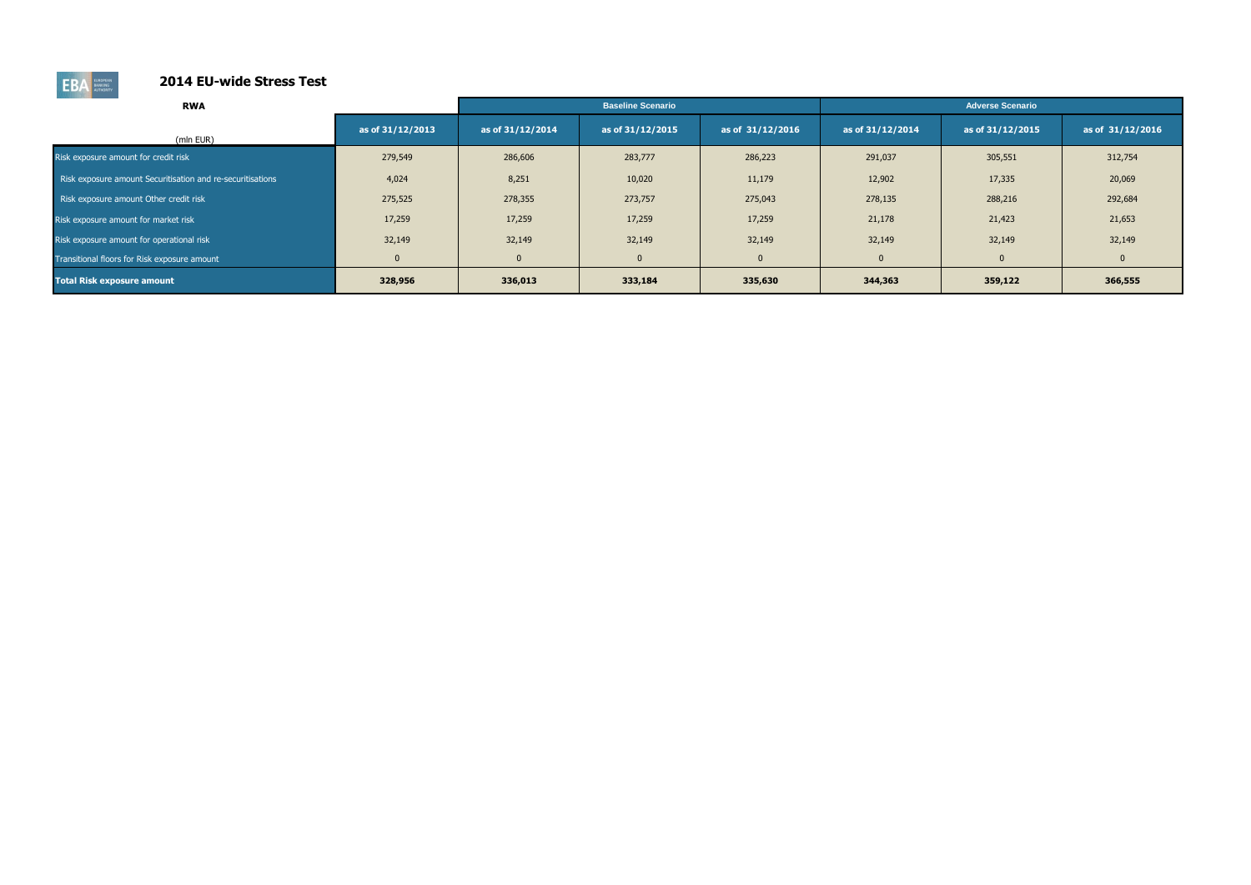

| <b>RWA</b>                                                 |                  |                  | <b>Baseline Scenario</b> |                  |                  | <b>Adverse Scenario</b> |                  |
|------------------------------------------------------------|------------------|------------------|--------------------------|------------------|------------------|-------------------------|------------------|
| (mln EUR)                                                  | as of 31/12/2013 | as of 31/12/2014 | as of 31/12/2015         | as of 31/12/2016 | as of 31/12/2014 | as of 31/12/2015        | as of 31/12/2016 |
| Risk exposure amount for credit risk                       | 279,549          | 286,606          | 283,777                  | 286,223          | 291,037          | 305,551                 | 312,754          |
| Risk exposure amount Securitisation and re-securitisations | 4,024            | 8,251            | 10,020                   | 11,179           | 12,902           | 17,335                  | 20,069           |
| Risk exposure amount Other credit risk                     | 275,525          | 278,355          | 273,757                  | 275,043          | 278,135          | 288,216                 | 292,684          |
| Risk exposure amount for market risk                       | 17,259           | 17,259           | 17,259                   | 17,259           | 21,178           | 21,423                  | 21,653           |
| Risk exposure amount for operational risk                  | 32,149           | 32,149           | 32,149                   | 32,149           | 32,149           | 32,149                  | 32,149           |
| Transitional floors for Risk exposure amount               | $\overline{0}$   | $\mathbf{0}$     | $\mathbf{0}$             | $\mathbf{0}$     | $\mathbf{0}$     | $\mathbf{0}$            |                  |
| <b>Total Risk exposure amount</b>                          | 328,956          | 336,013          | 333,184                  | 335,630          | 344,363          | 359,122                 | 366,555          |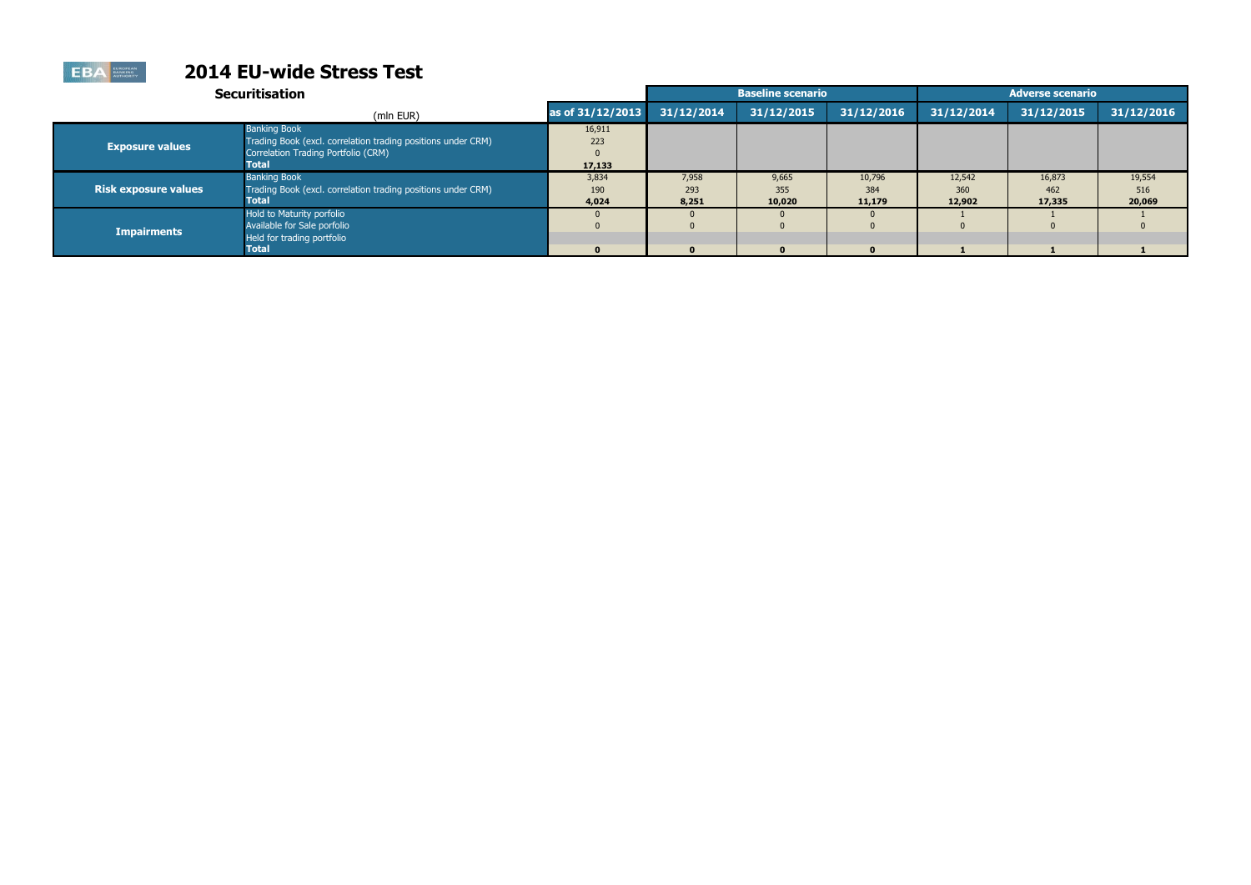|                             | <b>Securitisation</b>                                                                                                               |                         |                       | <b>Baseline scenario</b> |                         |                         | <b>Adverse scenario</b> |                         |
|-----------------------------|-------------------------------------------------------------------------------------------------------------------------------------|-------------------------|-----------------------|--------------------------|-------------------------|-------------------------|-------------------------|-------------------------|
|                             | (mln EUR)                                                                                                                           | as of 31/12/2013        | 31/12/2014            | 31/12/2015               | 31/12/2016              | 31/12/2014              | 31/12/2015              | 31/12/2016              |
| <b>Exposure values</b>      | <b>Banking Book</b><br>Trading Book (excl. correlation trading positions under CRM)<br>Correlation Trading Portfolio (CRM)<br>Total | 16,911<br>223<br>17,133 |                       |                          |                         |                         |                         |                         |
| <b>Risk exposure values</b> | <b>Banking Book</b><br>Trading Book (excl. correlation trading positions under CRM)<br>Total                                        | 3,834<br>190<br>4,024   | 7,958<br>293<br>8,251 | 9,665<br>355<br>10,020   | 10,796<br>384<br>11,179 | 12,542<br>360<br>12,902 | 16,873<br>462<br>17,335 | 19,554<br>516<br>20,069 |
| <b>Impairments</b>          | Hold to Maturity porfolio<br>Available for Sale porfolio<br>Held for trading portfolio<br>Total                                     | $\mathbf{0}$            | $\mathbf{0}$          | $\mathbf{0}$             | $\Omega$                |                         |                         |                         |

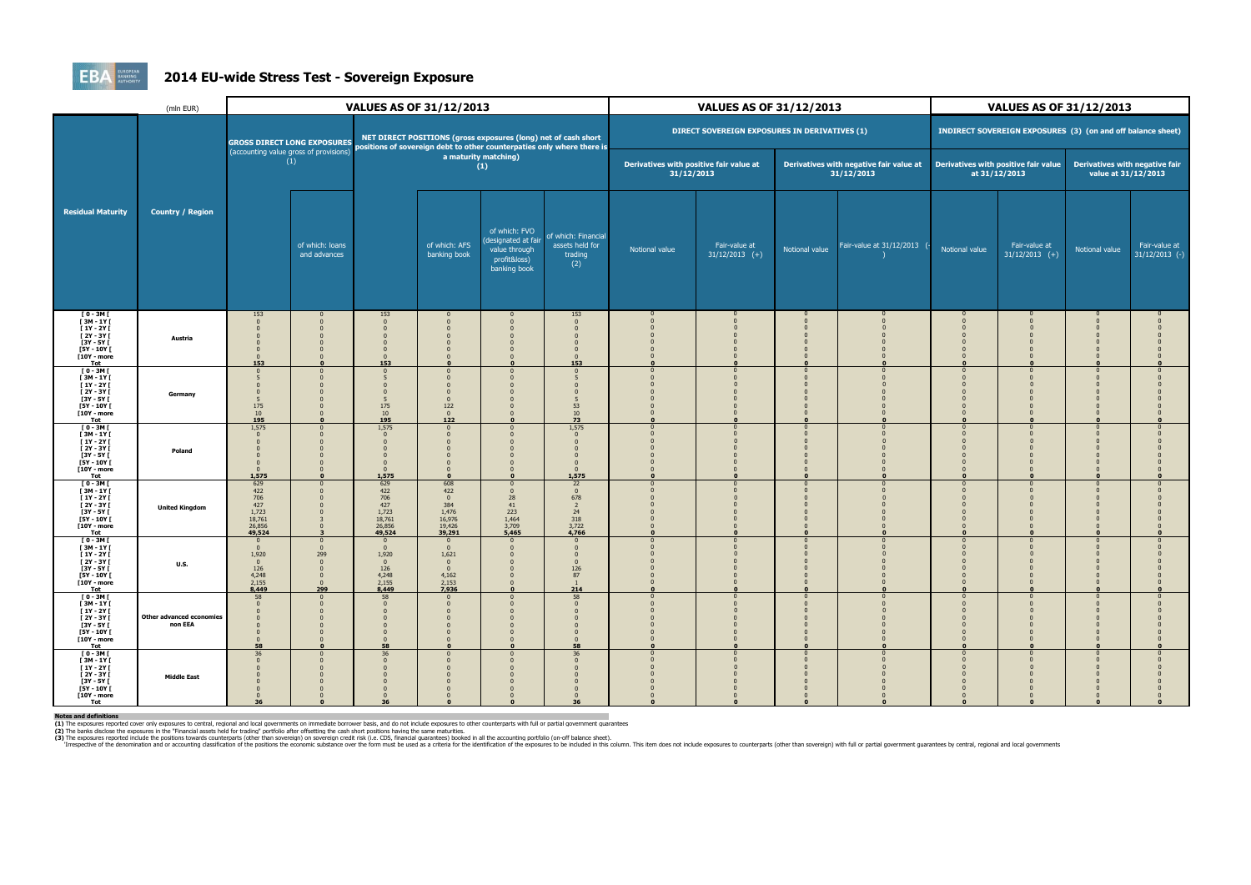

### **2014 EU-wide Stress Test - Sovereign Exposure**

|                                                                                                                                    | (mln EUR)                           |                                                                                         |                                    |                                                                         | <b>VALUES AS OF 31/12/2013</b>                                             |                                                                                       |                                                                              |                                                       | <b>VALUES AS OF 31/12/2013</b>                |                |                                                       |                                  | <b>VALUES AS OF 31/12/2013</b>                              |                                                       |                                   |
|------------------------------------------------------------------------------------------------------------------------------------|-------------------------------------|-----------------------------------------------------------------------------------------|------------------------------------|-------------------------------------------------------------------------|----------------------------------------------------------------------------|---------------------------------------------------------------------------------------|------------------------------------------------------------------------------|-------------------------------------------------------|-----------------------------------------------|----------------|-------------------------------------------------------|----------------------------------|-------------------------------------------------------------|-------------------------------------------------------|-----------------------------------|
|                                                                                                                                    |                                     |                                                                                         | <b>GROSS DIRECT LONG EXPOSURES</b> |                                                                         |                                                                            | NET DIRECT POSITIONS (gross exposures (long) net of cash short                        | positions of sovereign debt to other counterpaties only where there is       |                                                       | DIRECT SOVEREIGN EXPOSURES IN DERIVATIVES (1) |                |                                                       |                                  | INDIRECT SOVEREIGN EXPOSURES (3) (on and off balance sheet) |                                                       |                                   |
|                                                                                                                                    |                                     | (accounting value gross of provisions)                                                  | (1)                                |                                                                         |                                                                            | a maturity matching)<br>(1)                                                           |                                                                              | Derivatives with positive fair value at<br>31/12/2013 |                                               |                | Derivatives with negative fair value at<br>31/12/2013 |                                  | Derivatives with positive fair value<br>at 31/12/2013       | Derivatives with negative fair<br>value at 31/12/2013 |                                   |
| <b>Residual Maturity</b>                                                                                                           | <b>Country / Region</b>             |                                                                                         | of which: loans<br>and advances    |                                                                         | of which: AFS<br>banking book                                              | of which: FVO<br>(designated at fair<br>value through<br>profit&loss)<br>banking book | of which: Financial<br>assets held for<br>trading<br>(2)                     | Notional value                                        | Fair-value at<br>$31/12/2013$ (+)             | Notional value | Fair-value at 31/12/2013                              | Notional value                   | Fair-value at<br>$31/12/2013$ (+)                           | Notional value                                        | Fair-value at<br>$31/12/2013$ (-) |
| <b>TO - 3MT</b><br>$[3M-1Y]$<br>$[1Y - 2Y]$<br>[ 2Y - 3Y [<br>[3Y - 5Y [<br>[5Y - 10Y [<br>[10Y - more<br>Tot                      | Austria                             | 153<br>$\Omega$<br>$\Omega$<br>153                                                      |                                    | 153<br>$\Omega$<br>$\Omega$<br>153                                      | $\mathbf{0}$                                                               | $\mathbf{0}$                                                                          | 153<br>$\Omega$<br>153                                                       |                                                       |                                               |                |                                                       |                                  |                                                             |                                                       |                                   |
| $[0 - 3M]$<br>[3M-1Y]<br>$[1Y - 2Y]$<br>[2Y - 3Y [<br><b>F3Y - 5Y F</b><br><b>F5Y - 10Y F</b><br>[10Y - more<br><b>Tot</b>         | Germany                             | $\Omega$<br>5<br>175<br>$\frac{10}{195}$                                                |                                    | 175<br>10<br>195                                                        | $\Omega$<br>122<br>$\overline{0}$<br>122                                   | $\Omega$                                                                              | 53<br>$\frac{10}{73}$                                                        |                                                       |                                               |                |                                                       |                                  |                                                             |                                                       |                                   |
| $I$ 0 - 3M $I$<br>$[3M - 1Y]$<br>$[1Y - 2Y]$<br>$[2Y - 3Y]$<br>[3Y - 5Y [<br>[5Y - 10Y [<br>[10Y - more<br>Tot                     | Poland                              | 1,575<br>$\Omega$<br>$\Omega$<br>$\Omega$<br>1,575                                      |                                    | 1,575<br>$\Omega$<br>1,575                                              |                                                                            | $\Omega$<br>$\mathbf{r}$                                                              | 1,575<br>$\Omega$<br>$\Omega$<br>$\overline{0}$<br>1,575                     |                                                       |                                               |                |                                                       |                                  |                                                             |                                                       |                                   |
| $I$ 0 - 3M $I$<br><b>T3M-1YT</b><br><b>F1Y-2YF</b><br><b>F2Y - 3Y F</b><br>$[3Y - 5Y]$<br>[5Y - 10Y [<br>[10Y - more<br><b>Tot</b> | <b>United Kingdom</b>               | 629<br>422<br>706<br>$427$<br>1,723<br>18,761<br>26,856<br>49,524                       |                                    | 629<br>422<br>706<br>427<br>1,723<br>18,761<br>26,856<br>49,524         | 608<br>422<br>$\overline{0}$<br>384<br>1,476<br>16,976<br>19,426<br>39,291 | $\Omega$<br>$\Omega$<br>28<br>41<br>223<br>1,464<br>3,709<br>5,465                    | 22<br>$\mathbf{0}$<br>678<br>$\overline{2}$<br>$24$<br>318<br>3,722<br>4,766 |                                                       |                                               |                |                                                       |                                  |                                                             |                                                       |                                   |
| $[0 - 3M]$<br>$[3M - 1Y]$<br>$[1Y - 2Y]$<br>$[2Y - 3Y]$<br>$[3Y - 5Y]$<br>[5Y - 10Y [<br>[10Y - more<br>Tot                        | <b>U.S.</b>                         | $\Omega$<br>$\mathbf{0}$<br>1,920<br>$\overline{0}$<br>126<br>4,248<br>$2,155$<br>8,449 | 299<br>$\Omega$<br>299             | $\Omega$<br>1,920<br>$\overline{0}$<br>126<br>4,248<br>$2,155$<br>8,449 | $\mathbf{0}$<br>1,621<br>$\overline{0}$<br>4,162<br>$2,153$<br>7,936       | $\Omega$                                                                              | $\Omega$<br>126<br>87<br>$\overline{1}$<br>214                               |                                                       |                                               |                |                                                       |                                  |                                                             |                                                       |                                   |
| $I$ 0 - 3M $I$<br><b>T3M-1YT</b><br>$[1Y - 2Y]$<br>$[2Y - 3Y]$<br>$[3Y - 5Y]$<br>[5Y - 10Y [<br>[10Y - more<br>Tot                 | Other advanced economies<br>non EEA | 58<br>$\overline{0}$<br>$\Omega$<br>$\overline{0}$<br>58                                |                                    | 58<br>$\Omega$<br>$\Omega$<br>58                                        | $\Omega$<br>- 0<br>$\Omega$                                                | $\Omega$<br>$\Omega$                                                                  | 58<br>$\Omega$<br>$\mathbf{0}$<br>58                                         |                                                       |                                               |                |                                                       | 0<br>$\Omega$                    |                                                             |                                                       |                                   |
| $I$ 0 - 3M $I$<br>[3M-1Y]<br>$[1Y - 2Y]$<br>$[2Y - 3Y]$<br>$[3Y - 5Y]$<br><b>F5Y - 10Y F</b><br>[10Y - more<br>Tot                 | <b>Middle East</b>                  | 36<br>$\Omega$<br>$\mathbf{0}$<br>$\Omega$<br>36                                        |                                    | 36<br>36                                                                | $\Omega$                                                                   | $\Omega$<br>$\Omega$<br>$\Omega$                                                      | 36<br>$\Omega$<br>36                                                         |                                                       |                                               |                |                                                       | $\Omega$<br>$\Omega$<br>$\Omega$ |                                                             |                                                       |                                   |

Notes and definitions<br>(1) The exposures reported cover only exposures to central, regional and local governments on immediate borrower basis, and do not include exposures to other counterparts with full or partial governme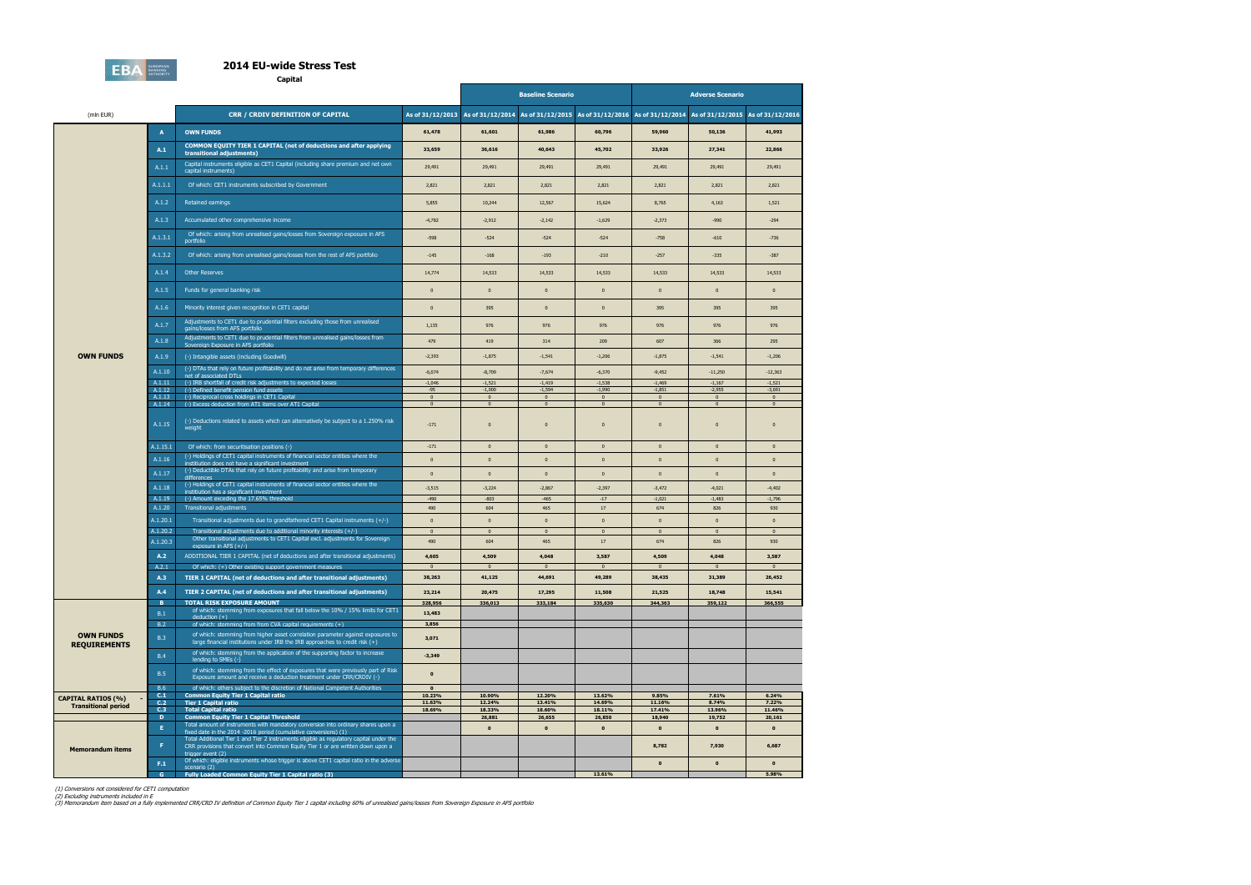

**Capital**

|                            |                  |                                                                                                                                                                                   | <b>Baseline Scenario</b>   |                                                                                      |                                  | <b>Adverse Scenario</b>        |                                  |                                   |                                  |
|----------------------------|------------------|-----------------------------------------------------------------------------------------------------------------------------------------------------------------------------------|----------------------------|--------------------------------------------------------------------------------------|----------------------------------|--------------------------------|----------------------------------|-----------------------------------|----------------------------------|
| (mln EUR)                  |                  | <b>CRR / CRDIV DEFINITION OF CAPITAL</b>                                                                                                                                          |                            | As of 31/12/2013 As of 31/12/2014 As of 31/12/2015 As of 31/12/2016 As of 31/12/2014 |                                  |                                |                                  | As of 31/12/2015 As of 31/12/2016 |                                  |
|                            | A                | <b>OWN FUNDS</b>                                                                                                                                                                  | 61,478                     | 61,601                                                                               | 61,986                           | 60,796                         | 59,960                           | 50,136                            | 41,993                           |
|                            | A.1              | COMMON EQUITY TIER 1 CAPITAL (net of deductions and after applying<br>transitional adjustments)                                                                                   | 33,659                     | 36,616                                                                               | 40,643                           | 45,702                         | 33,926                           | 27,341                            | 22,866                           |
|                            | A.1.1            | Capital instruments eligible as CET1 Capital (including share premium and net own<br>capital instruments)                                                                         | 29,491                     | 29,491                                                                               | 29,491                           | 29,491                         | 29,491                           | 29,491                            | 29,491                           |
|                            | A.1.1.1          | Of which: CET1 instruments subscribed by Government                                                                                                                               | 2,821                      | 2,821                                                                                | 2,821                            | 2,821                          | 2,821                            | 2,821                             | 2,821                            |
|                            | A.1.2            | Retained earnings                                                                                                                                                                 | 5,855                      | 10,244                                                                               | 12,567                           | 15,624                         | 8,765                            | 4,163                             | 1,521                            |
|                            | A.1.3            | Accumulated other comprehensive income                                                                                                                                            | $-4,782$                   | $-2,912$                                                                             | $-2,142$                         | $-1,629$                       | $-2,373$                         | $-990$                            | $-294$                           |
|                            | A.1.3.1          | Of which: arising from unrealised gains/losses from Sovereign exposure in AFS<br>portfolio                                                                                        | $-598$                     | $-524$                                                                               | $-524$                           | $-524$                         | $-758$                           | $-610$                            | $-736$                           |
|                            | A.1.3.2          | Of which: arising from unrealised gains/losses from the rest of AFS portfolio                                                                                                     | $-145$                     | $-168$                                                                               | $-193$                           | $-210$                         | $-257$                           | $-335$                            | $-387$                           |
|                            | A.1.4            | <b>Other Reserves</b>                                                                                                                                                             | 14,774                     | 14,533                                                                               | 14,533                           | 14,533                         | 14,533                           | 14,533                            | 14,533                           |
|                            | A.1.5            | Funds for general banking risk                                                                                                                                                    | $\mathbf{0}$               | $\overline{0}$                                                                       | $\pmb{0}$                        | $\pmb{0}$                      | $\mathbf{0}$                     | $\mathbf 0$                       | $\pmb{0}$                        |
|                            | A.1.6            | Minority interest given recognition in CET1 capital                                                                                                                               | $\mathbf{0}$               | 395                                                                                  | $\pmb{0}$                        | $\mathbf{0}$                   | 395                              | 395                               | 395                              |
|                            | A.1.7            | Adjustments to CET1 due to prudential filters excluding those from unrealised<br>gains/losses from AFS portfolio                                                                  | 1,135                      | 976                                                                                  | 976                              | 976                            | 976                              | 976                               | 976                              |
|                            | A.1.8            | Adjustments to CET1 due to prudential filters from unrealised gains/losses from<br>Sovereign Exposure in AFS portfolio                                                            | 479                        | 419                                                                                  | 314                              | 209                            | 607                              | 366                               | 295                              |
| <b>OWN FUNDS</b>           | A.1.9            | (-) Intangible assets (including Goodwill)                                                                                                                                        | $-2,393$                   | $-1,875$                                                                             | $-1,541$                         | $-1,206$                       | $-1,875$                         | $-1,541$                          | $-1,206$                         |
|                            | A.1.10           | (-) DTAs that rely on future profitability and do not arise from temporary differences<br>net of associated DTLs                                                                  | $-6,074$                   | $-8,709$                                                                             | $-7,674$                         | $-6,370$                       | $-9,452$                         | $-11,250$                         | $-12,363$                        |
|                            | A.1.11<br>A.1.12 | (-) IRB shortfall of credit risk adjustments to expected losses<br>(-) Defined benefit pension fund assets                                                                        | $-1,046$<br>$-95$          | $-1,521$<br>$-1,000$                                                                 | $-1,419$<br>$-1,594$             | $-1,538$<br>$-1,990$           | $-1,469$<br>$-1,851$             | $-1,167$<br>$-2,955$              | $-1,521$<br>$-3,691$             |
|                            | A.1.13<br>A.1.14 | (-) Reciprocal cross holdings in CET1 Capital<br>(-) Excess deduction from AT1 items over AT1 Capital                                                                             | $\bf{0}$<br>$\overline{0}$ | $\overline{\mathbf{0}}$<br>$\mathbf{0}$                                              | $\overline{0}$<br>$\overline{0}$ | $\overline{0}$<br>$\mathbf{0}$ | $\overline{0}$<br>$\overline{0}$ | $\overline{0}$<br>$\overline{0}$  | $\overline{0}$<br>$\overline{0}$ |
|                            | A.1.15           | (-) Deductions related to assets which can alternatively be subject to a 1.250% risk<br>weight                                                                                    | $-171$                     | $\overline{0}$                                                                       | $\pmb{0}$                        | $\mathbf{0}$                   | $\mathbf{0}$                     | $\bf{0}$                          | $\mathbf{0}$                     |
|                            | A.1.15.1         | Of which: from securitisation positions (-)                                                                                                                                       | $-171$                     | $\overline{\mathbf{0}}$                                                              | $\pmb{0}$                        | $\pmb{0}$                      | $\mathbf 0$                      | $\mathbf{0}$                      | $\mathbf{0}$                     |
|                            | A.1.16           | (-) Holdings of CET1 capital instruments of financial sector entities where the<br>institiution does not have a significant investment                                            | $\mathbf{0}$               | $\overline{0}$                                                                       | $\pmb{0}$                        | $\pmb{0}$                      | $\mathbf{0}$                     | $\mathbf{0}$                      | $\mathbf{0}$                     |
|                            | A.1.17           | (-) Deductible DTAs that rely on future profitability and arise from temporary<br>differences                                                                                     | $\mathbf{0}$               | $\overline{0}$                                                                       | $\pmb{0}$                        | $\pmb{0}$                      | $\mathbf{0}$                     | $\bf{0}$                          | $\bf{0}$                         |
|                            | A.1.18           | (-) Holdings of CET1 capital instruments of financial sector entities where the<br>institiution has a significant investment                                                      | $-3,515$                   | $-3,224$                                                                             | $-2,867$                         | $-2,397$                       | $-3,472$                         | $-4,021$                          | $-4,402$                         |
|                            | A.1.19<br>A.1.20 | (-) Amount exceding the 17.65% threshold<br>Transitional adjustments                                                                                                              | $-490$<br>490              | $-803$<br>604                                                                        | $-465$<br>465                    | $-17$<br>$17$                  | $-1,021$<br>674                  | $-1,483$<br>826                   | $-1,796$<br>930                  |
|                            | A.1.20.1         | Transitional adjustments due to grandfathered CET1 Capital instruments (+/-)                                                                                                      | $\pmb{0}$                  | $\overline{0}$                                                                       | $\pmb{0}$                        | $\pmb{0}$                      | $\mathbf{0}$                     | $\mathbf{0}$                      | $\mathbf{0}$                     |
|                            | A.1.20.2         | Transitional adjustments due to additional minority interests (+/-)                                                                                                               | $\overline{0}$             | $\mathbf 0$                                                                          | $\overline{0}$                   | $\pmb{0}$                      | $\overline{0}$                   | $\overline{0}$                    | $\overline{0}$                   |
|                            | A.1.20.3         | Other transitional adjustments to CET1 Capital excl. adjustments for Sovereign<br>exposure in AFS $(+/-)$                                                                         | 490                        | 604                                                                                  | 465                              | 17                             | 674                              | 826                               | 930                              |
|                            | A.2<br>A.2.1     | ADDITIONAL TIER 1 CAPITAL (net of deductions and after transitional adjustments)<br>Of which: (+) Other existing support government measures                                      | 4,605<br>$\overline{0}$    | 4,509<br>$\overline{0}$                                                              | 4,048<br>$\overline{0}$          | 3,587<br>$\overline{0}$        | 4,509<br>$\overline{0}$          | 4,048<br>$\overline{0}$           | 3,587<br>$\mathbf{0}$            |
|                            | A.3              | TIER 1 CAPITAL (net of deductions and after transitional adjustments)                                                                                                             | 38,263                     | 41,125                                                                               | 44,691                           | 49,289                         | 38,435                           | 31,389                            | 26,452                           |
|                            | A.4              | TIER 2 CAPITAL (net of deductions and after transitional adjustments)                                                                                                             | 23,214                     | 20,475                                                                               | 17,295                           | 11,508                         | 21,525                           | 18,748                            | 15,541                           |
|                            | B.               | <b>TOTAL RISK EXPOSURE AMOUNT</b><br>of which: stemming from exposures that fall below the 10% / 15% limits for CET1                                                              | 328,956                    | 336,013                                                                              | 333,184                          | 335,630                        | 344,363                          | 359,122                           | 366,555                          |
|                            | B.1              | $deduction (+)$                                                                                                                                                                   | 13,483                     |                                                                                      |                                  |                                |                                  |                                   |                                  |
| <b>OWN FUNDS</b>           | B.2<br>B.3       | of which: stemming from from CVA capital requirements (+)<br>of which: stemming from higher asset correlation parameter against exposures to                                      | 3,856<br>3,071             |                                                                                      |                                  |                                |                                  |                                   |                                  |
| <b>REQUIREMENTS</b>        | <b>B.4</b>       | large financial institutions under IRB the IRB approaches to credit risk $(+)$<br>of which: stemming from the application of the supporting factor to increase                    | $-3,349$                   |                                                                                      |                                  |                                |                                  |                                   |                                  |
|                            | B.5              | lending to SMEs (-)<br>of which: stemming from the effect of exposures that were previously part of Risk<br>Exposure amount and receive a deduction treatment under CRR/CRDIV (-) | $\mathbf{0}$               |                                                                                      |                                  |                                |                                  |                                   |                                  |
|                            | <b>B.6</b>       | of which: others subject to the discretion of National Competent Authorities                                                                                                      | $\mathbf{0}$               |                                                                                      |                                  |                                |                                  |                                   |                                  |
| <b>CAPITAL RATIOS (%)</b>  | C.1              | <b>Common Equity Tier 1 Capital ratio</b>                                                                                                                                         | 10.23%                     | 10.90%                                                                               | 12.20%                           | 13.62%                         | 9.85%                            | 7.61%                             | 6.24%                            |
| <b>Transitional period</b> | C.2<br>C.3       | <b>Tier 1 Capital ratio</b><br><b>Total Capital ratio</b>                                                                                                                         | 11.63%<br>18.69%           | 12.24%<br>18.33%                                                                     | 13.41%<br>18.60%                 | 14.69%<br>18.11%               | 11.16%<br>17.41%                 | 8.74%<br>13.96%                   | 7.22%<br>11.46%                  |
|                            | $\mathbf{D}$     | <b>Common Equity Tier 1 Capital Threshold</b>                                                                                                                                     |                            | 26,881                                                                               | 26,655                           | 26,850                         | 18,940                           | 19,752                            | 20,161                           |
|                            | E.               | Total amount of instruments with mandatory conversion into ordinary shares upon a<br>fixed date in the 2014 -2016 period (cumulative conversions) (1)                             |                            | $\mathbf{0}$                                                                         | $\mathbf{o}$                     | $\pmb{\mathsf{o}}$             | $\mathbf{0}$                     | $\mathbf{0}$                      | $\mathbf 0$                      |
| <b>Memorandum items</b>    | F                | Total Additional Tier 1 and Tier 2 instruments eligible as regulatory capital under the<br>CRR provisions that convert into Common Equity Tier 1 or are written down upon a       |                            |                                                                                      |                                  |                                | 8,782                            | 7,930                             | 6,687                            |
|                            | F.1              | trigger event (2)<br>Of which: eligible instruments whose trigger is above CET1 capital ratio in the adverse<br>scenario (2)                                                      |                            |                                                                                      |                                  |                                | $\pmb{\mathsf{o}}$               | $\pmb{\mathsf{o}}$                | $\mathbf{o}$                     |
|                            | $\mathbf{G}$     | <b>Fully Loaded Common Equity Tier 1 Capital ratio (3)</b>                                                                                                                        |                            |                                                                                      |                                  | 13.61%                         |                                  |                                   | 5.98%                            |

(1) Conversions not considered for CET1 computation<br>(2) Excluding instruments included in E<br>(3) Memorandum item based on a fully implemented CRR/CRD IV definition of Common Equity Tier 1 capital including 60% of unrealised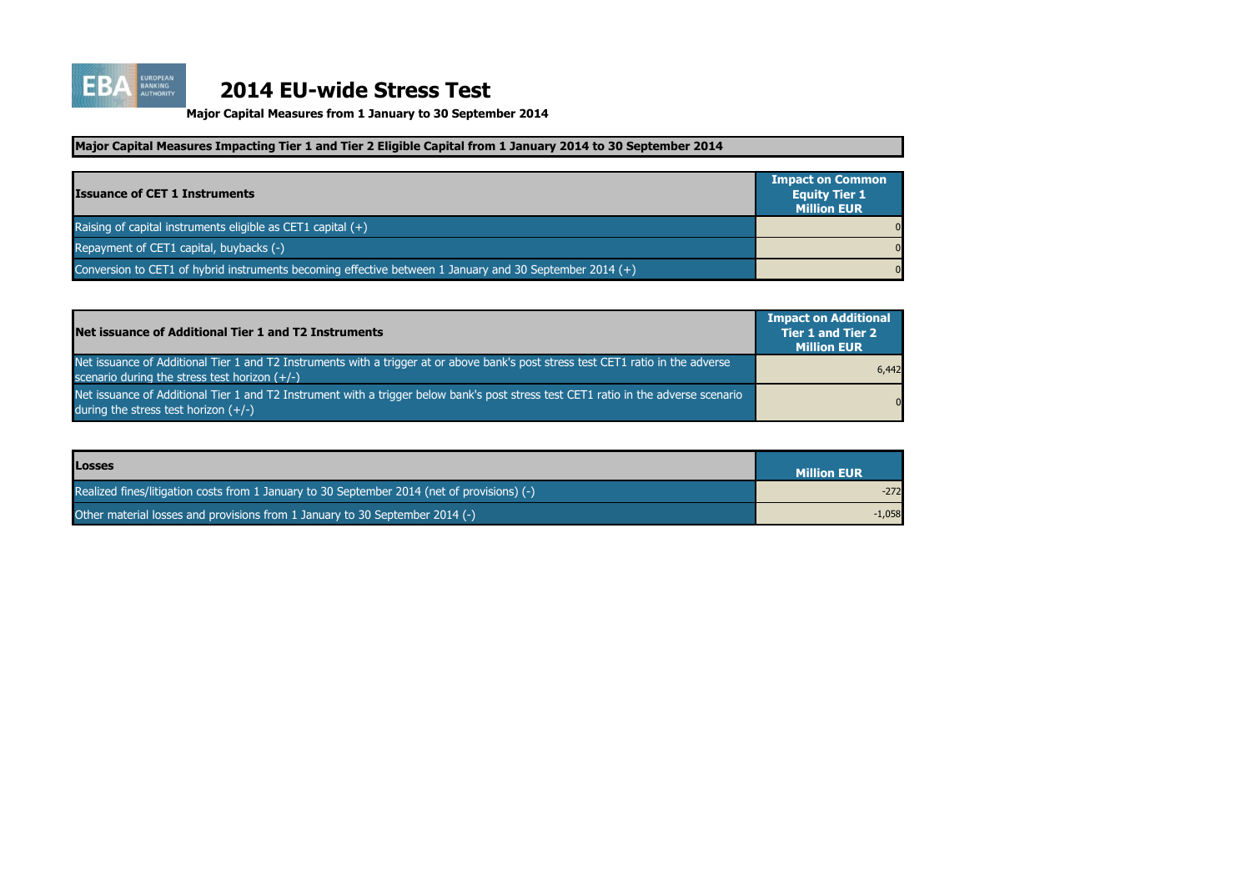

| <b>Issuance of CET 1 Instruments</b>                                                                    | <b>Impact on Common</b><br><b>Equity Tier 1</b><br><b>Million EUR</b> |
|---------------------------------------------------------------------------------------------------------|-----------------------------------------------------------------------|
| Raising of capital instruments eligible as CET1 capital $(+)$                                           | $\overline{0}$                                                        |
| Repayment of CET1 capital, buybacks (-)                                                                 | $\overline{0}$                                                        |
| Conversion to CET1 of hybrid instruments becoming effective between 1 January and 30 September 2014 (+) | $\overline{0}$                                                        |

| Net issuance of Additional Tier 1 and T2 Instruments                                                                                                                                 | <b>Impact on Additional</b><br><b>Tier 1 and Tier 2</b><br><b>Million EUR</b> |
|--------------------------------------------------------------------------------------------------------------------------------------------------------------------------------------|-------------------------------------------------------------------------------|
| Net issuance of Additional Tier 1 and T2 Instruments with a trigger at or above bank's post stress test CET1 ratio in the adverse<br>scenario during the stress test horizon $(+/-)$ | 6,442                                                                         |
| Net issuance of Additional Tier 1 and T2 Instrument with a trigger below bank's post stress test CET1 ratio in the adverse scenario<br>during the stress test horizon $(+/-)$        | $\Omega$                                                                      |

**Major Capital Measures from 1 January to 30 September 2014**

| <b>Losses</b>                                                                               | <b>Million EUR</b> |
|---------------------------------------------------------------------------------------------|--------------------|
| Realized fines/litigation costs from 1 January to 30 September 2014 (net of provisions) (-) | $-272$             |
| Other material losses and provisions from 1 January to 30 September 2014 (-)                | $-1,058$           |

### **Major Capital Measures Impacting Tier 1 and Tier 2 Eligible Capital from 1 January 2014 to 30 September 2014**